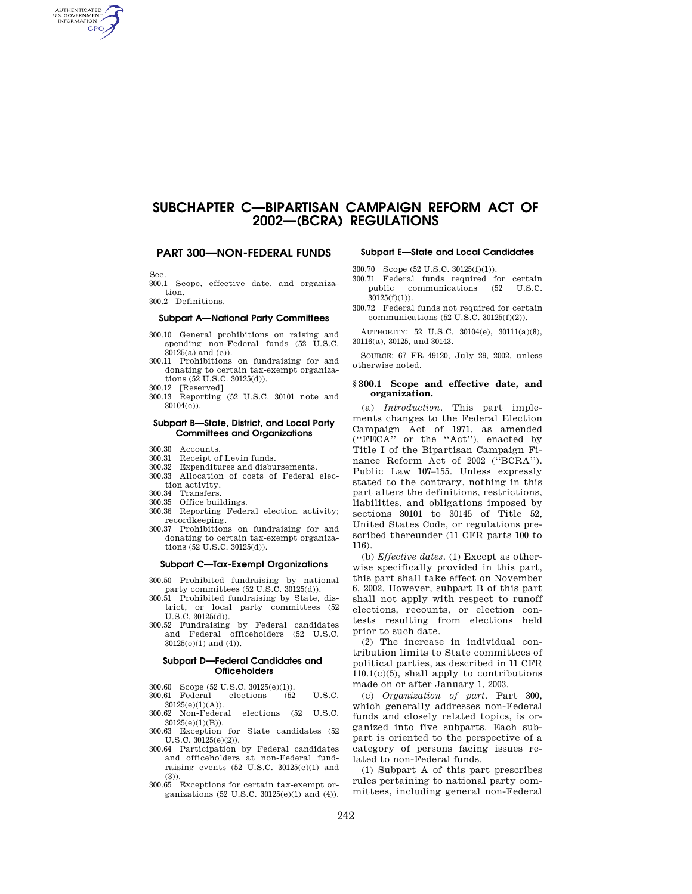# **SUBCHAPTER C—BIPARTISAN CAMPAIGN REFORM ACT OF 2002—(BCRA) REGULATIONS**

### **PART 300—NON-FEDERAL FUNDS**

Sec.

AUTHENTICATED **GPO** 

- 300.1 Scope, effective date, and organization.
- 300.2 Definitions.

#### **Subpart A—National Party Committees**

- 300.10 General prohibitions on raising and spending non-Federal funds (52 U.S.C. 30125(a) and (c)).
- 300.11 Prohibitions on fundraising for and donating to certain tax-exempt organizations (52 U.S.C. 30125(d)).
- 
- 300.12 [Reserved] 300.13 Reporting (52 U.S.C. 30101 note and 30104(e)).

#### **Subpart B—State, District, and Local Party Committees and Organizations**

- 300.30 Accounts.
- 300.31 Receipt of Levin funds.
- 300.32 Expenditures and disbursements.
- 300.33 Allocation of costs of Federal election activity.
- 300.34 Transfers.
- 300.35 Office buildings.
- 300.36 Reporting Federal election activity; recordkeeping.
- 300.37 Prohibitions on fundraising for and donating to certain tax-exempt organizations (52 U.S.C. 30125(d)).

#### **Subpart C—Tax-Exempt Organizations**

- 300.50 Prohibited fundraising by national party committees (52 U.S.C. 30125(d)).
- 300.51 Prohibited fundraising by State, district, or local party committees (52 U.S.C. 30125(d)).
- 300.52 Fundraising by Federal candidates and Federal officeholders (52 U.S.C. 30125(e)(1) and (4)).

#### **Subpart D—Federal Candidates and Officeholders**

- 300.60 Scope (52 U.S.C. 30125(e)(1)).<br>300.61 Federal elections (52 300.61 Federal elections (52 U.S.C.
- $30125(e)(1)(A)).$ <br> $300.62$  Non-Federal elections (52 U.S.C. 30125(e)(1)(B)).
- 300.63 Exception for State candidates (52 U.S.C. 30125(e)(2)).
- 300.64 Participation by Federal candidates and officeholders at non-Federal fundraising events  $(52 \text{ U.S.C. } 30125(e)(1) \text{ and }$ (3)).
- 300.65 Exceptions for certain tax-exempt organizations (52 U.S.C. 30125(e)(1) and (4)).

#### **Subpart E—State and Local Candidates**

- 300.70 Scope (52 U.S.C. 30125(f)(1)).
- 300.71 Federal funds required for certain public communications (52 U.S.C. 30125(f)(1)).
- 300.72 Federal funds not required for certain communications (52 U.S.C. 30125(f)(2)).
- AUTHORITY: 52 U.S.C. 30104(e), 30111(a)(8), 30116(a), 30125, and 30143.

SOURCE: 67 FR 49120, July 29, 2002, unless otherwise noted.

#### **§ 300.1 Scope and effective date, and organization.**

(a) *Introduction.* This part implements changes to the Federal Election Campaign Act of 1971, as amended (''FECA'' or the ''Act''), enacted by Title I of the Bipartisan Campaign Finance Reform Act of 2002 (''BCRA''). Public Law 107–155. Unless expressly stated to the contrary, nothing in this part alters the definitions, restrictions, liabilities, and obligations imposed by sections 30101 to 30145 of Title 52, United States Code, or regulations prescribed thereunder (11 CFR parts 100 to 116).

(b) *Effective dates.* (1) Except as otherwise specifically provided in this part, this part shall take effect on November 6, 2002. However, subpart B of this part shall not apply with respect to runoff elections, recounts, or election contests resulting from elections held prior to such date.

(2) The increase in individual contribution limits to State committees of political parties, as described in 11 CFR 110.1(c)(5), shall apply to contributions made on or after January 1, 2003.

(c) *Organization of part.* Part 300, which generally addresses non-Federal funds and closely related topics, is organized into five subparts. Each subpart is oriented to the perspective of a category of persons facing issues related to non-Federal funds.

(1) Subpart A of this part prescribes rules pertaining to national party committees, including general non-Federal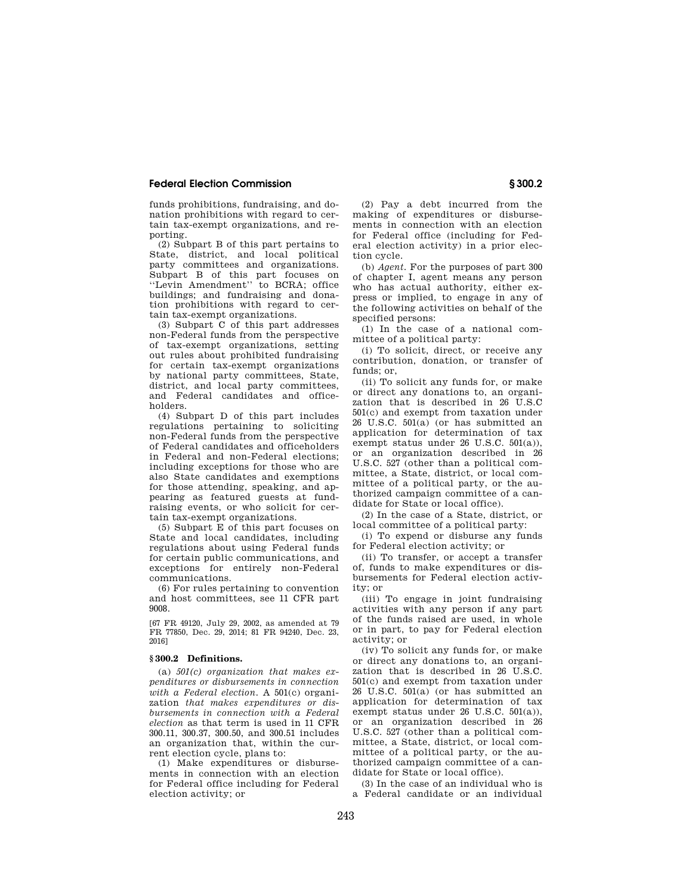funds prohibitions, fundraising, and donation prohibitions with regard to certain tax-exempt organizations, and reporting.

(2) Subpart B of this part pertains to State, district, and local political party committees and organizations. Subpart B of this part focuses on ''Levin Amendment'' to BCRA; office buildings; and fundraising and donation prohibitions with regard to certain tax-exempt organizations.

(3) Subpart C of this part addresses non-Federal funds from the perspective of tax-exempt organizations, setting out rules about prohibited fundraising for certain tax-exempt organizations by national party committees, State, district, and local party committees, and Federal candidates and officeholders.

(4) Subpart D of this part includes regulations pertaining to soliciting non-Federal funds from the perspective of Federal candidates and officeholders in Federal and non-Federal elections; including exceptions for those who are also State candidates and exemptions for those attending, speaking, and appearing as featured guests at fundraising events, or who solicit for certain tax-exempt organizations.

(5) Subpart E of this part focuses on State and local candidates, including regulations about using Federal funds for certain public communications, and exceptions for entirely non-Federal communications.

(6) For rules pertaining to convention and host committees, see 11 CFR part 9008.

[67 FR 49120, July 29, 2002, as amended at 79 FR 77850, Dec. 29, 2014; 81 FR 94240, Dec. 23, 2016]

#### **§ 300.2 Definitions.**

(a) *501(c) organization that makes expenditures or disbursements in connection with a Federal election.* A 501(c) organization *that makes expenditures or disbursements in connection with a Federal election* as that term is used in 11 CFR 300.11, 300.37, 300.50, and 300.51 includes an organization that, within the current election cycle, plans to:

(1) Make expenditures or disbursements in connection with an election for Federal office including for Federal election activity; or

(2) Pay a debt incurred from the making of expenditures or disbursements in connection with an election for Federal office (including for Federal election activity) in a prior election cycle.

(b) *Agent.* For the purposes of part 300 of chapter I, agent means any person who has actual authority, either express or implied, to engage in any of the following activities on behalf of the specified persons:

(1) In the case of a national committee of a political party:

(i) To solicit, direct, or receive any contribution, donation, or transfer of funds; or,

(ii) To solicit any funds for, or make or direct any donations to, an organization that is described in 26 U.S.C 501(c) and exempt from taxation under 26 U.S.C. 501(a) (or has submitted an application for determination of tax exempt status under 26 U.S.C. 501(a)), or an organization described in 26 U.S.C. 527 (other than a political committee, a State, district, or local committee of a political party, or the authorized campaign committee of a candidate for State or local office).

(2) In the case of a State, district, or local committee of a political party:

(i) To expend or disburse any funds for Federal election activity; or

(ii) To transfer, or accept a transfer of, funds to make expenditures or disbursements for Federal election activity; or

(iii) To engage in joint fundraising activities with any person if any part of the funds raised are used, in whole or in part, to pay for Federal election activity; or

(iv) To solicit any funds for, or make or direct any donations to, an organization that is described in 26 U.S.C. 501(c) and exempt from taxation under 26 U.S.C. 501(a) (or has submitted an application for determination of tax exempt status under 26 U.S.C. 501(a)), or an organization described in 26 U.S.C. 527 (other than a political committee, a State, district, or local committee of a political party, or the authorized campaign committee of a candidate for State or local office).

(3) In the case of an individual who is a Federal candidate or an individual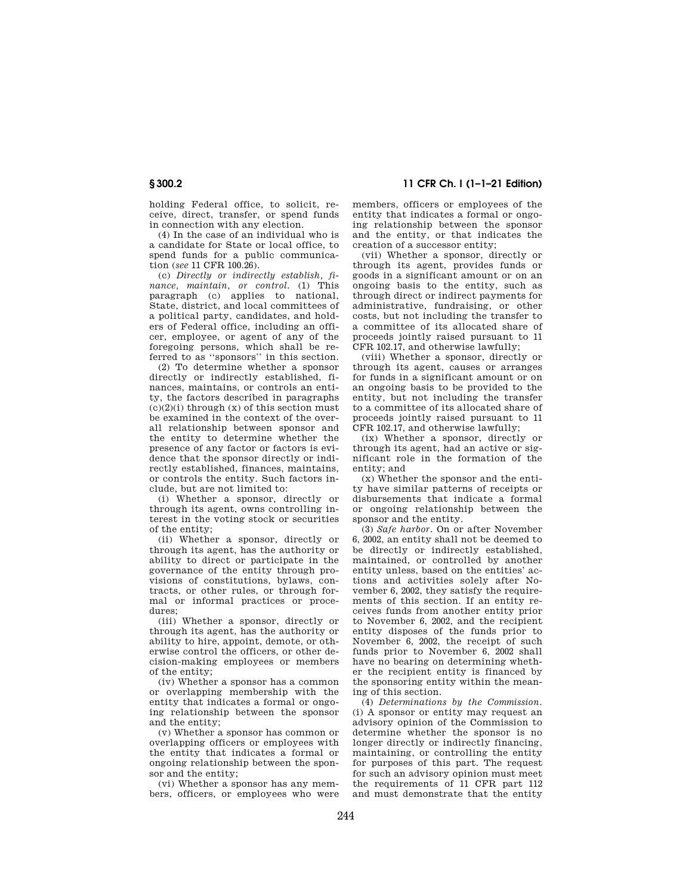holding Federal office, to solicit, receive, direct, transfer, or spend funds in connection with any election.

(4) In the case of an individual who is a candidate for State or local office, to spend funds for a public communication (*see* 11 CFR 100.26).

(c) *Directly or indirectly establish, finance, maintain, or control.* (1) This paragraph (c) applies to national, State, district, and local committees of a political party, candidates, and holders of Federal office, including an officer, employee, or agent of any of the foregoing persons, which shall be referred to as ''sponsors'' in this section.

(2) To determine whether a sponsor directly or indirectly established, finances, maintains, or controls an entity, the factors described in paragraphs  $(c)(2)(i)$  through  $(x)$  of this section must be examined in the context of the overall relationship between sponsor and the entity to determine whether the presence of any factor or factors is evidence that the sponsor directly or indirectly established, finances, maintains, or controls the entity. Such factors include, but are not limited to:

(i) Whether a sponsor, directly or through its agent, owns controlling interest in the voting stock or securities of the entity;

(ii) Whether a sponsor, directly or through its agent, has the authority or ability to direct or participate in the governance of the entity through provisions of constitutions, bylaws, contracts, or other rules, or through formal or informal practices or procedures;

(iii) Whether a sponsor, directly or through its agent, has the authority or ability to hire, appoint, demote, or otherwise control the officers, or other decision-making employees or members of the entity;

(iv) Whether a sponsor has a common or overlapping membership with the entity that indicates a formal or ongoing relationship between the sponsor and the entity;

(v) Whether a sponsor has common or overlapping officers or employees with the entity that indicates a formal or ongoing relationship between the sponsor and the entity;

(vi) Whether a sponsor has any members, officers, or employees who were

**§ 300.2 11 CFR Ch. I (1–1–21 Edition)** 

members, officers or employees of the entity that indicates a formal or ongoing relationship between the sponsor and the entity, or that indicates the creation of a successor entity;

(vii) Whether a sponsor, directly or through its agent, provides funds or goods in a significant amount or on an ongoing basis to the entity, such as through direct or indirect payments for administrative, fundraising, or other costs, but not including the transfer to a committee of its allocated share of proceeds jointly raised pursuant to 11 CFR 102.17, and otherwise lawfully;

(viii) Whether a sponsor, directly or through its agent, causes or arranges for funds in a significant amount or on an ongoing basis to be provided to the entity, but not including the transfer to a committee of its allocated share of proceeds jointly raised pursuant to 11 CFR 102.17, and otherwise lawfully;

(ix) Whether a sponsor, directly or through its agent, had an active or significant role in the formation of the entity; and

(x) Whether the sponsor and the entity have similar patterns of receipts or disbursements that indicate a formal or ongoing relationship between the sponsor and the entity.

(3) *Safe harbor.* On or after November 6, 2002, an entity shall not be deemed to be directly or indirectly established, maintained, or controlled by another entity unless, based on the entities' actions and activities solely after November 6, 2002, they satisfy the requirements of this section. If an entity receives funds from another entity prior to November 6, 2002, and the recipient entity disposes of the funds prior to November 6, 2002, the receipt of such funds prior to November 6, 2002 shall have no bearing on determining whether the recipient entity is financed by the sponsoring entity within the meaning of this section.

(4) *Determinations by the Commission.*  (i) A sponsor or entity may request an advisory opinion of the Commission to determine whether the sponsor is no longer directly or indirectly financing, maintaining, or controlling the entity for purposes of this part. The request for such an advisory opinion must meet the requirements of 11 CFR part 112 and must demonstrate that the entity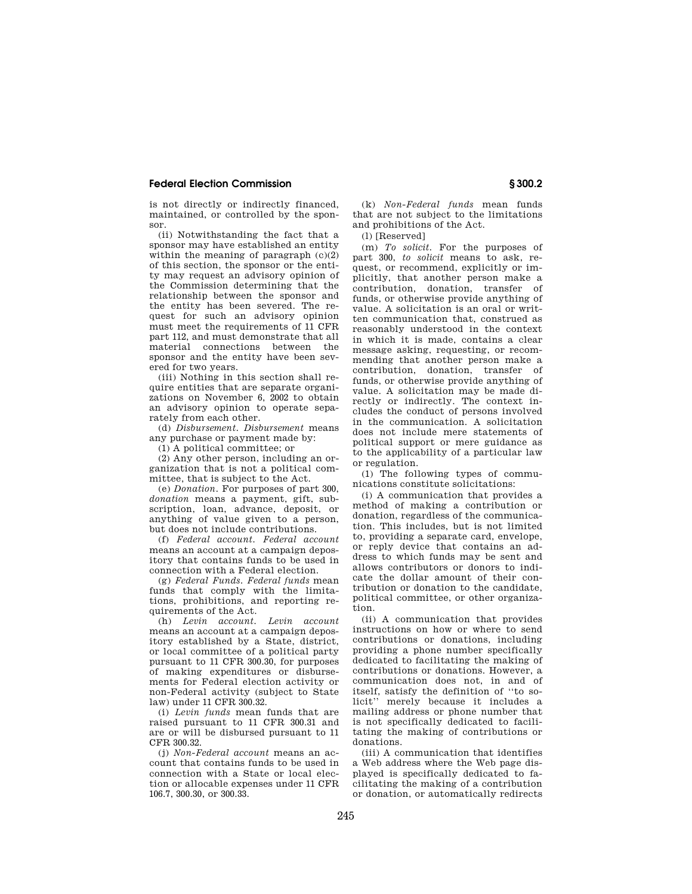is not directly or indirectly financed, maintained, or controlled by the sponsor.

(ii) Notwithstanding the fact that a sponsor may have established an entity within the meaning of paragraph  $(c)(2)$ of this section, the sponsor or the entity may request an advisory opinion of the Commission determining that the relationship between the sponsor and the entity has been severed. The request for such an advisory opinion must meet the requirements of 11 CFR part 112, and must demonstrate that all material connections between the sponsor and the entity have been severed for two years.

(iii) Nothing in this section shall require entities that are separate organizations on November 6, 2002 to obtain an advisory opinion to operate separately from each other.

(d) *Disbursement. Disbursement* means any purchase or payment made by:

(1) A political committee; or

(2) Any other person, including an organization that is not a political committee, that is subject to the Act.

(e) *Donation.* For purposes of part 300, *donation* means a payment, gift, subscription, loan, advance, deposit, or anything of value given to a person, but does not include contributions.

(f) *Federal account. Federal account*  means an account at a campaign depository that contains funds to be used in connection with a Federal election.

(g) *Federal Funds. Federal funds* mean funds that comply with the limitations, prohibitions, and reporting requirements of the Act.

(h) *Levin account. Levin account*  means an account at a campaign depository established by a State, district, or local committee of a political party pursuant to 11 CFR 300.30, for purposes of making expenditures or disbursements for Federal election activity or non-Federal activity (subject to State law) under 11 CFR 300.32.

(i) *Levin funds* mean funds that are raised pursuant to 11 CFR 300.31 and are or will be disbursed pursuant to 11 CFR 300.32.

(j) *Non-Federal account* means an account that contains funds to be used in connection with a State or local election or allocable expenses under 11 CFR 106.7, 300.30, or 300.33.

(k) *Non-Federal funds* mean funds that are not subject to the limitations and prohibitions of the Act.

(l) [Reserved]

(m) *To solicit.* For the purposes of part 300, *to solicit* means to ask, request, or recommend, explicitly or implicitly, that another person make a contribution, donation, transfer of funds, or otherwise provide anything of value. A solicitation is an oral or written communication that, construed as reasonably understood in the context in which it is made, contains a clear message asking, requesting, or recommending that another person make a contribution, donation, transfer of funds, or otherwise provide anything of value. A solicitation may be made directly or indirectly. The context includes the conduct of persons involved in the communication. A solicitation does not include mere statements of political support or mere guidance as to the applicability of a particular law or regulation.

(1) The following types of communications constitute solicitations:

(i) A communication that provides a method of making a contribution or donation, regardless of the communication. This includes, but is not limited to, providing a separate card, envelope, or reply device that contains an address to which funds may be sent and allows contributors or donors to indicate the dollar amount of their contribution or donation to the candidate, political committee, or other organization.

(ii) A communication that provides instructions on how or where to send contributions or donations, including providing a phone number specifically dedicated to facilitating the making of contributions or donations. However, a communication does not, in and of itself, satisfy the definition of ''to solicit'' merely because it includes a mailing address or phone number that is not specifically dedicated to facilitating the making of contributions or donations.

(iii) A communication that identifies a Web address where the Web page displayed is specifically dedicated to facilitating the making of a contribution or donation, or automatically redirects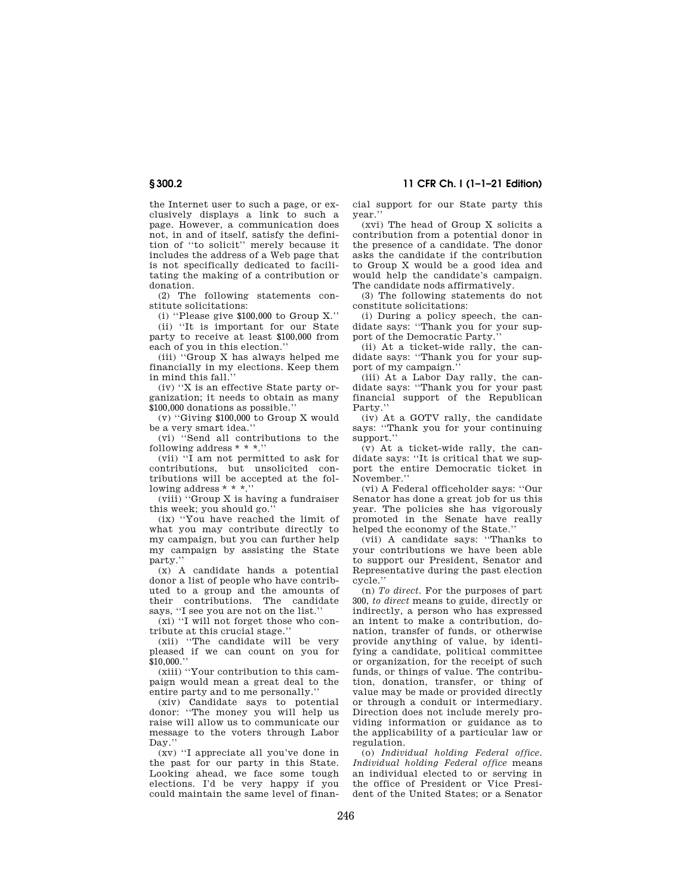the Internet user to such a page, or exclusively displays a link to such a page. However, a communication does not, in and of itself, satisfy the definition of ''to solicit'' merely because it includes the address of a Web page that is not specifically dedicated to facilitating the making of a contribution or donation.

(2) The following statements constitute solicitations:

(i) ''Please give \$100,000 to Group X.''

(ii) ''It is important for our State party to receive at least \$100,000 from each of you in this election.''

(iii) ''Group X has always helped me financially in my elections. Keep them in mind this fall.''

(iv) ''X is an effective State party organization; it needs to obtain as many \$100,000 donations as possible.''

(v) ''Giving \$100,000 to Group X would be a very smart idea.''

(vi) ''Send all contributions to the following address \* \* \*.''

(vii) ''I am not permitted to ask for contributions, but unsolicited contributions will be accepted at the following address \* \* \*.''

(viii) ''Group X is having a fundraiser this week; you should go.''

(ix) ''You have reached the limit of what you may contribute directly to my campaign, but you can further help my campaign by assisting the State party.''

(x) A candidate hands a potential donor a list of people who have contributed to a group and the amounts of their contributions. The candidate says, ''I see you are not on the list.''

(xi) ''I will not forget those who contribute at this crucial stage.''

(xii) ''The candidate will be very pleased if we can count on you for \$10,000.''

(xiii) ''Your contribution to this campaign would mean a great deal to the entire party and to me personally.''

(xiv) Candidate says to potential donor: ''The money you will help us raise will allow us to communicate our message to the voters through Labor Day.''

(xv) ''I appreciate all you've done in the past for our party in this State. Looking ahead, we face some tough elections. I'd be very happy if you could maintain the same level of financial support for our State party this year.''

(xvi) The head of Group X solicits a contribution from a potential donor in the presence of a candidate. The donor asks the candidate if the contribution to Group X would be a good idea and would help the candidate's campaign. The candidate nods affirmatively.

(3) The following statements do not constitute solicitations:

(i) During a policy speech, the candidate says: ''Thank you for your support of the Democratic Party.''

(ii) At a ticket-wide rally, the candidate says: ''Thank you for your support of my campaign.''

(iii) At a Labor Day rally, the candidate says: ''Thank you for your past financial support of the Republican Party.''

(iv) At a GOTV rally, the candidate says: ''Thank you for your continuing support.''

 $\overline{v}$  At a ticket-wide rally, the candidate says: ''It is critical that we support the entire Democratic ticket in November.''

(vi) A Federal officeholder says: ''Our Senator has done a great job for us this year. The policies she has vigorously promoted in the Senate have really helped the economy of the State.''

(vii) A candidate says: ''Thanks to your contributions we have been able to support our President, Senator and Representative during the past election cycle.''

(n) *To direct.* For the purposes of part 300, *to direct* means to guide, directly or indirectly, a person who has expressed an intent to make a contribution, donation, transfer of funds, or otherwise provide anything of value, by identifying a candidate, political committee or organization, for the receipt of such funds, or things of value. The contribution, donation, transfer, or thing of value may be made or provided directly or through a conduit or intermediary. Direction does not include merely providing information or guidance as to the applicability of a particular law or regulation.

(o) *Individual holding Federal office. Individual holding Federal office* means an individual elected to or serving in the office of President or Vice President of the United States; or a Senator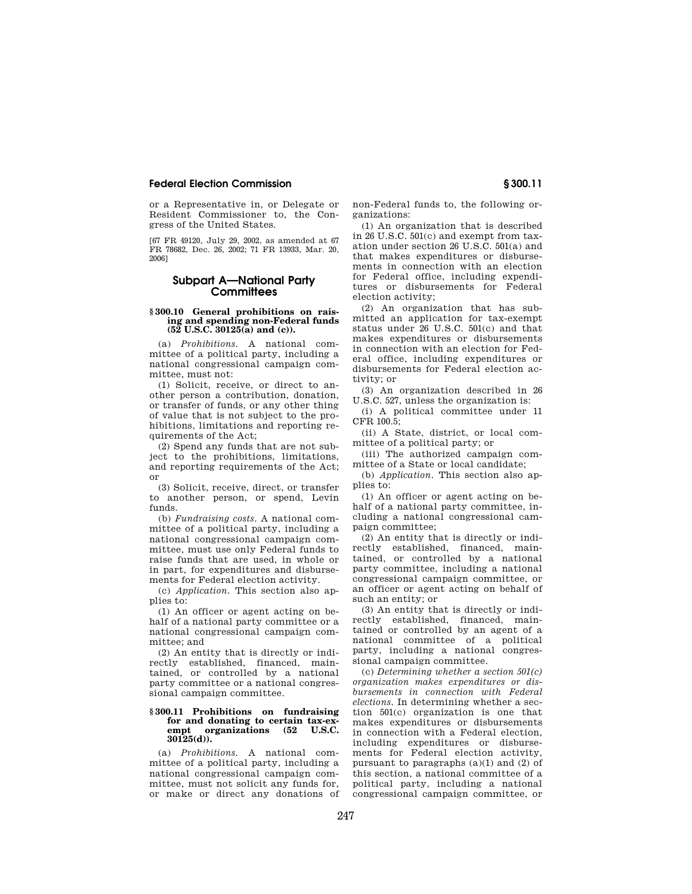or a Representative in, or Delegate or Resident Commissioner to, the Congress of the United States.

[67 FR 49120, July 29, 2002, as amended at 67 FR 78682, Dec. 26, 2002; 71 FR 13933, Mar. 20, 2006]

### **Subpart A—National Party Committees**

#### **§ 300.10 General prohibitions on raising and spending non-Federal funds (52 U.S.C. 30125(a) and (c)).**

(a) *Prohibitions.* A national committee of a political party, including a national congressional campaign committee, must not:

(1) Solicit, receive, or direct to another person a contribution, donation, or transfer of funds, or any other thing of value that is not subject to the prohibitions, limitations and reporting requirements of the Act;

(2) Spend any funds that are not subject to the prohibitions, limitations, and reporting requirements of the Act; or

(3) Solicit, receive, direct, or transfer to another person, or spend, Levin funds.

(b) *Fundraising costs.* A national committee of a political party, including a national congressional campaign committee, must use only Federal funds to raise funds that are used, in whole or in part, for expenditures and disbursements for Federal election activity.

(c) *Application.* This section also applies to:

(1) An officer or agent acting on behalf of a national party committee or a national congressional campaign committee; and

(2) An entity that is directly or indirectly established, financed, maintained, or controlled by a national party committee or a national congressional campaign committee.

#### **§ 300.11 Prohibitions on fundraising for and donating to certain tax-exempt organizations (52 U.S.C. 30125(d)).**

(a) *Prohibitions.* A national committee of a political party, including a national congressional campaign committee, must not solicit any funds for, or make or direct any donations of non-Federal funds to, the following organizations:

(1) An organization that is described in 26 U.S.C. 501(c) and exempt from taxation under section 26 U.S.C. 501(a) and that makes expenditures or disbursements in connection with an election for Federal office, including expenditures or disbursements for Federal election activity;

(2) An organization that has submitted an application for tax-exempt status under 26 U.S.C. 501(c) and that makes expenditures or disbursements in connection with an election for Federal office, including expenditures or disbursements for Federal election activity; or

(3) An organization described in 26 U.S.C. 527, unless the organization is:

(i) A political committee under 11 CFR 100.5;

(ii) A State, district, or local committee of a political party; or

(iii) The authorized campaign committee of a State or local candidate;

(b) *Application.* This section also applies to:

(1) An officer or agent acting on behalf of a national party committee, including a national congressional campaign committee;

(2) An entity that is directly or indirectly established, financed, maintained, or controlled by a national party committee, including a national congressional campaign committee, or an officer or agent acting on behalf of such an entity; or

(3) An entity that is directly or indirectly established, financed, maintained or controlled by an agent of a national committee of a political party, including a national congressional campaign committee.

(c) *Determining whether a section 501(c) organization makes expenditures or disbursements in connection with Federal elections.* In determining whether a section 501(c) organization is one that makes expenditures or disbursements in connection with a Federal election, including expenditures or disbursements for Federal election activity, pursuant to paragraphs  $(a)(1)$  and  $(2)$  of this section, a national committee of a political party, including a national congressional campaign committee, or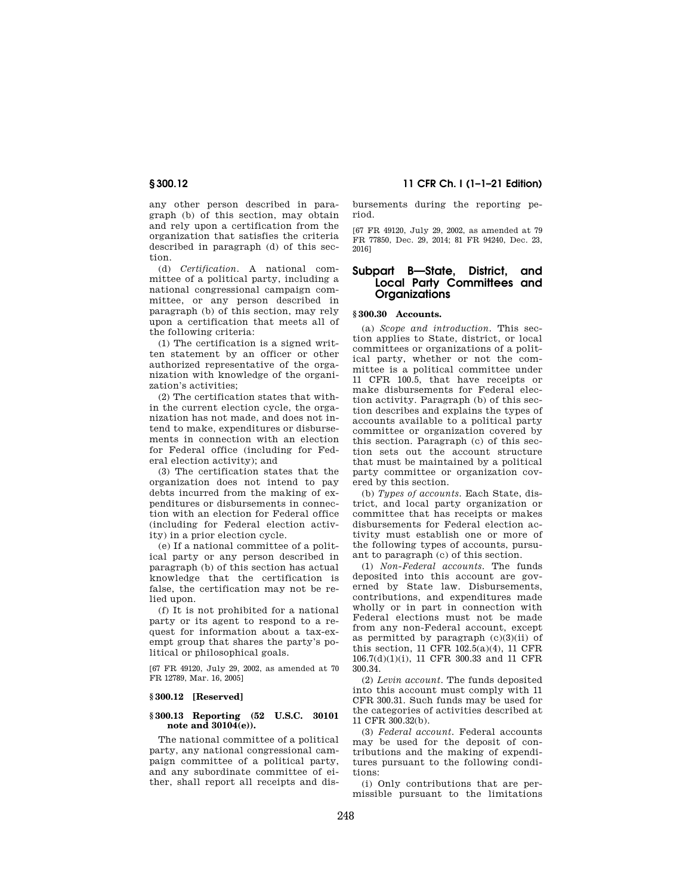any other person described in paragraph (b) of this section, may obtain and rely upon a certification from the organization that satisfies the criteria described in paragraph (d) of this section.

(d) *Certification.* A national committee of a political party, including a national congressional campaign committee, or any person described in paragraph (b) of this section, may rely upon a certification that meets all of the following criteria:

(1) The certification is a signed written statement by an officer or other authorized representative of the organization with knowledge of the organization's activities;

(2) The certification states that within the current election cycle, the organization has not made, and does not intend to make, expenditures or disbursements in connection with an election for Federal office (including for Federal election activity); and

(3) The certification states that the organization does not intend to pay debts incurred from the making of expenditures or disbursements in connection with an election for Federal office (including for Federal election activity) in a prior election cycle.

(e) If a national committee of a political party or any person described in paragraph (b) of this section has actual knowledge that the certification is false, the certification may not be relied upon.

(f) It is not prohibited for a national party or its agent to respond to a request for information about a tax-exempt group that shares the party's political or philosophical goals.

[67 FR 49120, July 29, 2002, as amended at 70 FR 12789, Mar. 16, 2005]

#### **§ 300.12 [Reserved]**

#### **§ 300.13 Reporting (52 U.S.C. 30101 note and 30104(e)).**

The national committee of a political party, any national congressional campaign committee of a political party, and any subordinate committee of either, shall report all receipts and dis-

**§ 300.12 11 CFR Ch. I (1–1–21 Edition)** 

bursements during the reporting period.

[67 FR 49120, July 29, 2002, as amended at 79 FR 77850, Dec. 29, 2014; 81 FR 94240, Dec. 23, 2016]

### **Subpart B—State, District, and Local Party Committees and Organizations**

#### **§ 300.30 Accounts.**

(a) *Scope and introduction.* This section applies to State, district, or local committees or organizations of a political party, whether or not the committee is a political committee under 11 CFR 100.5, that have receipts or make disbursements for Federal election activity. Paragraph (b) of this section describes and explains the types of accounts available to a political party committee or organization covered by this section. Paragraph (c) of this section sets out the account structure that must be maintained by a political party committee or organization covered by this section.

(b) *Types of accounts.* Each State, district, and local party organization or committee that has receipts or makes disbursements for Federal election activity must establish one or more of the following types of accounts, pursuant to paragraph (c) of this section.

(1) *Non-Federal accounts.* The funds deposited into this account are governed by State law. Disbursements, contributions, and expenditures made wholly or in part in connection with Federal elections must not be made from any non-Federal account, except as permitted by paragraph  $(c)(3)(ii)$  of this section, 11 CFR 102.5(a)(4), 11 CFR 106.7(d)(1)(i), 11 CFR 300.33 and 11 CFR 300.34.

(2) *Levin account.* The funds deposited into this account must comply with 11 CFR 300.31. Such funds may be used for the categories of activities described at 11 CFR 300.32(b).

(3) *Federal account.* Federal accounts may be used for the deposit of contributions and the making of expenditures pursuant to the following conditions:

(i) Only contributions that are permissible pursuant to the limitations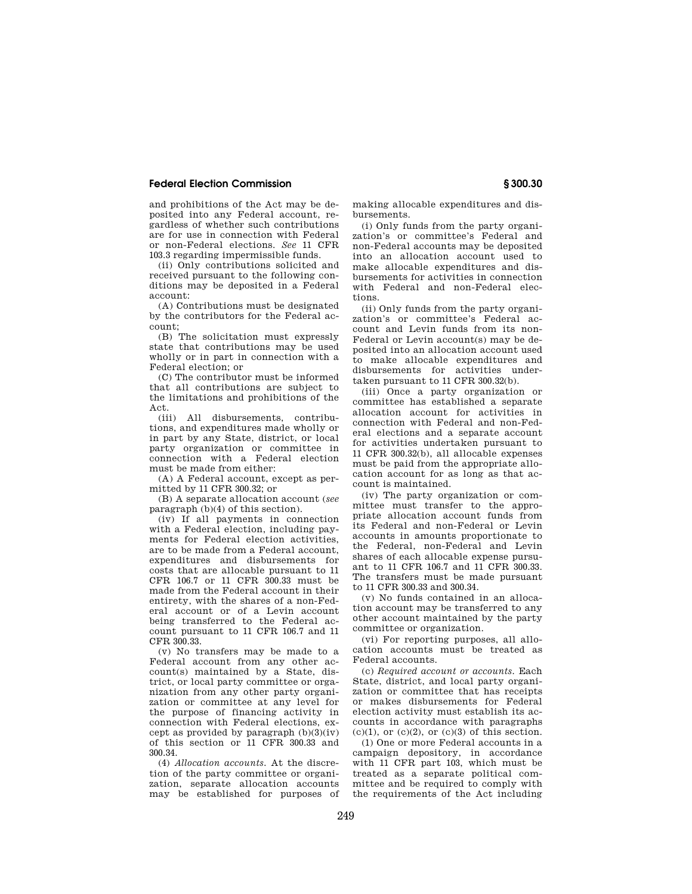and prohibitions of the Act may be deposited into any Federal account, regardless of whether such contributions are for use in connection with Federal or non-Federal elections. *See* 11 CFR 103.3 regarding impermissible funds.

(ii) Only contributions solicited and received pursuant to the following conditions may be deposited in a Federal account:

(A) Contributions must be designated by the contributors for the Federal account;

(B) The solicitation must expressly state that contributions may be used wholly or in part in connection with a Federal election; or

(C) The contributor must be informed that all contributions are subject to the limitations and prohibitions of the Act.

(iii) All disbursements, contributions, and expenditures made wholly or in part by any State, district, or local party organization or committee in connection with a Federal election must be made from either:

(A) A Federal account, except as permitted by 11 CFR 300.32; or

(B) A separate allocation account (*see*  paragraph (b)(4) of this section).

(iv) If all payments in connection with a Federal election, including payments for Federal election activities, are to be made from a Federal account, expenditures and disbursements for costs that are allocable pursuant to 11 CFR 106.7 or 11 CFR 300.33 must be made from the Federal account in their entirety, with the shares of a non-Federal account or of a Levin account being transferred to the Federal account pursuant to 11 CFR 106.7 and 11 CFR 300.33.

(v) No transfers may be made to a Federal account from any other account(s) maintained by a State, district, or local party committee or organization from any other party organization or committee at any level for the purpose of financing activity in connection with Federal elections, except as provided by paragraph  $(b)(3)(iv)$ of this section or 11 CFR 300.33 and 300.34.

(4) *Allocation accounts.* At the discretion of the party committee or organization, separate allocation accounts may be established for purposes of making allocable expenditures and disbursements.

(i) Only funds from the party organization's or committee's Federal and non-Federal accounts may be deposited into an allocation account used to make allocable expenditures and disbursements for activities in connection with Federal and non-Federal elections.

(ii) Only funds from the party organization's or committee's Federal account and Levin funds from its non-Federal or Levin account(s) may be deposited into an allocation account used to make allocable expenditures and disbursements for activities undertaken pursuant to 11 CFR 300.32(b).

(iii) Once a party organization or committee has established a separate allocation account for activities in connection with Federal and non-Federal elections and a separate account for activities undertaken pursuant to 11 CFR 300.32(b), all allocable expenses must be paid from the appropriate allocation account for as long as that account is maintained.

(iv) The party organization or committee must transfer to the appropriate allocation account funds from its Federal and non-Federal or Levin accounts in amounts proportionate to the Federal, non-Federal and Levin shares of each allocable expense pursuant to 11 CFR 106.7 and 11 CFR 300.33. The transfers must be made pursuant to 11 CFR 300.33 and 300.34.

(v) No funds contained in an allocation account may be transferred to any other account maintained by the party committee or organization.

(vi) For reporting purposes, all allocation accounts must be treated as Federal accounts.

(c) *Required account or accounts.* Each State, district, and local party organization or committee that has receipts or makes disbursements for Federal election activity must establish its accounts in accordance with paragraphs  $(c)(1)$ , or  $(c)(2)$ , or  $(c)(3)$  of this section.

(1) One or more Federal accounts in a campaign depository, in accordance with 11 CFR part 103, which must be treated as a separate political committee and be required to comply with the requirements of the Act including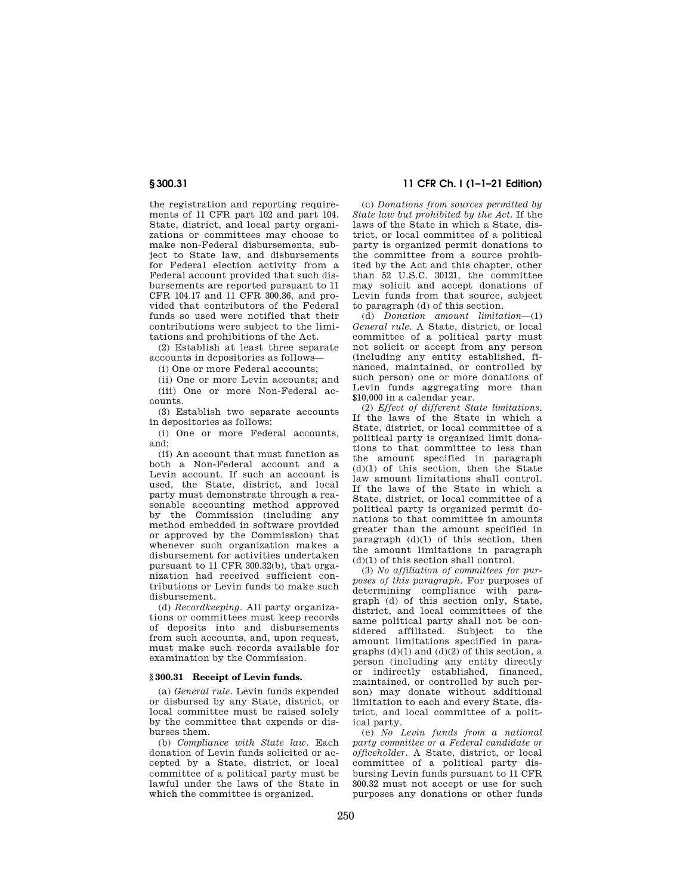the registration and reporting requirements of 11 CFR part 102 and part 104. State, district, and local party organizations or committees may choose to make non-Federal disbursements, subject to State law, and disbursements for Federal election activity from a Federal account provided that such disbursements are reported pursuant to 11 CFR 104.17 and 11 CFR 300.36, and provided that contributors of the Federal funds so used were notified that their contributions were subject to the limitations and prohibitions of the Act.

(2) Establish at least three separate accounts in depositories as follows—

(i) One or more Federal accounts;

(ii) One or more Levin accounts; and (iii) One or more Non-Federal accounts.

(3) Establish two separate accounts in depositories as follows:

(i) One or more Federal accounts, and;

(ii) An account that must function as both a Non-Federal account and a Levin account. If such an account is used, the State, district, and local party must demonstrate through a reasonable accounting method approved by the Commission (including any method embedded in software provided or approved by the Commission) that whenever such organization makes a disbursement for activities undertaken pursuant to 11 CFR 300.32(b), that organization had received sufficient contributions or Levin funds to make such disbursement.

(d) *Recordkeeping.* All party organizations or committees must keep records of deposits into and disbursements from such accounts, and, upon request, must make such records available for examination by the Commission.

#### **§ 300.31 Receipt of Levin funds.**

(a) *General rule.* Levin funds expended or disbursed by any State, district, or local committee must be raised solely by the committee that expends or disburses them.

(b) *Compliance with State law.* Each donation of Levin funds solicited or accepted by a State, district, or local committee of a political party must be lawful under the laws of the State in which the committee is organized.

**§ 300.31 11 CFR Ch. I (1–1–21 Edition)** 

(c) *Donations from sources permitted by State law but prohibited by the Act.* If the laws of the State in which a State, district, or local committee of a political party is organized permit donations to the committee from a source prohibited by the Act and this chapter, other than 52 U.S.C. 30121, the committee may solicit and accept donations of Levin funds from that source, subject to paragraph (d) of this section.

(d) *Donation amount limitation*—(1) *General rule.* A State, district, or local committee of a political party must not solicit or accept from any person (including any entity established, financed, maintained, or controlled by such person) one or more donations of Levin funds aggregating more than \$10,000 in a calendar year.

(2) *Effect of different State limitations.*  If the laws of the State in which a State, district, or local committee of a political party is organized limit donations to that committee to less than the amount specified in paragraph (d)(1) of this section, then the State law amount limitations shall control. If the laws of the State in which a State, district, or local committee of a political party is organized permit donations to that committee in amounts greater than the amount specified in paragraph  $(d)(1)$  of this section, then the amount limitations in paragraph (d)(1) of this section shall control.

(3) *No affiliation of committees for purposes of this paragraph.* For purposes of determining compliance with paragraph (d) of this section only, State, district, and local committees of the same political party shall not be considered affiliated. Subject to the amount limitations specified in paragraphs  $(d)(1)$  and  $(d)(2)$  of this section, a person (including any entity directly or indirectly established, financed. maintained, or controlled by such person) may donate without additional limitation to each and every State, district, and local committee of a political party.

(e) *No Levin funds from a national party committee or a Federal candidate or officeholder.* A State, district, or local committee of a political party disbursing Levin funds pursuant to 11 CFR 300.32 must not accept or use for such purposes any donations or other funds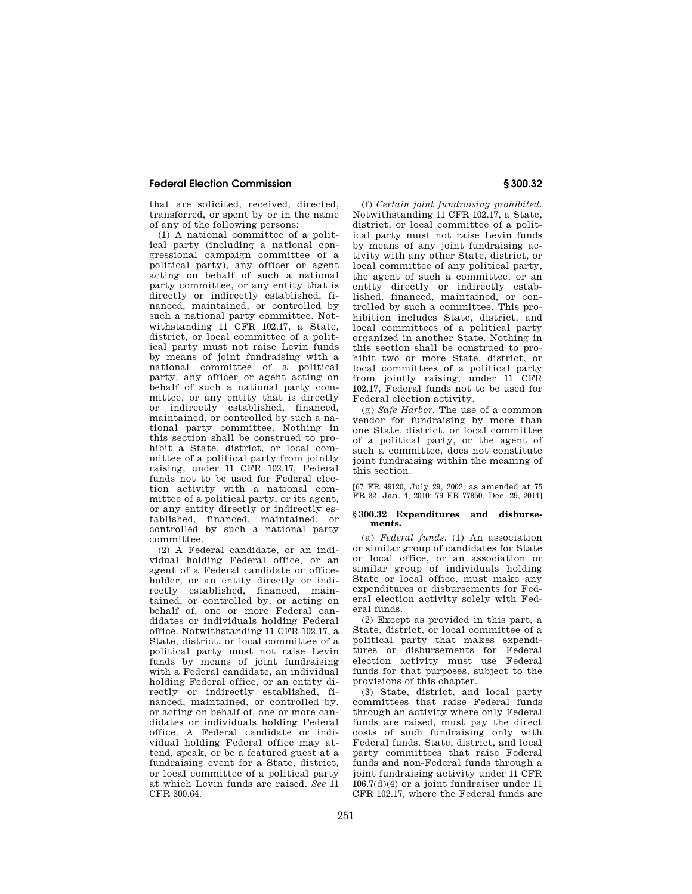that are solicited, received, directed, transferred, or spent by or in the name of any of the following persons:

(1) A national committee of a political party (including a national congressional campaign committee of a political party), any officer or agent acting on behalf of such a national party committee, or any entity that is directly or indirectly established, financed, maintained, or controlled by such a national party committee. Notwithstanding 11 CFR 102.17, a State, district, or local committee of a political party must not raise Levin funds by means of joint fundraising with a national committee of a political party, any officer or agent acting on behalf of such a national party committee, or any entity that is directly or indirectly established, financed, maintained, or controlled by such a national party committee. Nothing in this section shall be construed to prohibit a State, district, or local committee of a political party from jointly raising, under 11 CFR 102.17, Federal funds not to be used for Federal election activity with a national committee of a political party, or its agent, or any entity directly or indirectly established, financed, maintained, or controlled by such a national party committee.

(2) A Federal candidate, or an individual holding Federal office, or an agent of a Federal candidate or officeholder, or an entity directly or indirectly established, financed, maintained, or controlled by, or acting on behalf of, one or more Federal candidates or individuals holding Federal office. Notwithstanding 11 CFR 102.17, a State, district, or local committee of a political party must not raise Levin funds by means of joint fundraising with a Federal candidate, an individual holding Federal office, or an entity directly or indirectly established, financed, maintained, or controlled by, or acting on behalf of, one or more candidates or individuals holding Federal office. A Federal candidate or individual holding Federal office may attend, speak, or be a featured guest at a fundraising event for a State, district, or local committee of a political party at which Levin funds are raised. *See* 11 CFR 300.64.

(f) *Certain joint fundraising prohibited.*  Notwithstanding 11 CFR 102.17, a State, district, or local committee of a political party must not raise Levin funds by means of any joint fundraising activity with any other State, district, or local committee of any political party, the agent of such a committee, or an entity directly or indirectly established, financed, maintained, or controlled by such a committee. This prohibition includes State, district, and local committees of a political party organized in another State. Nothing in this section shall be construed to prohibit two or more State, district, or local committees of a political party from jointly raising, under 11 CFR 102.17, Federal funds not to be used for Federal election activity.

(g) *Safe Harbor.* The use of a common vendor for fundraising by more than one State, district, or local committee of a political party, or the agent of such a committee, does not constitute joint fundraising within the meaning of this section.

[67 FR 49120, July 29, 2002, as amended at 75 FR 32, Jan. 4, 2010; 79 FR 77850, Dec. 29, 2014]

#### **§ 300.32 Expenditures and disbursements.**

(a) *Federal funds.* (1) An association or similar group of candidates for State or local office, or an association or similar group of individuals holding State or local office, must make any expenditures or disbursements for Federal election activity solely with Federal funds.

(2) Except as provided in this part, a State, district, or local committee of a political party that makes expenditures or disbursements for Federal election activity must use Federal funds for that purposes, subject to the provisions of this chapter.

(3) State, district, and local party committees that raise Federal funds through an activity where only Federal funds are raised, must pay the direct costs of such fundraising only with Federal funds. State, district, and local party committees that raise Federal funds and non-Federal funds through a joint fundraising activity under 11 CFR 106.7(d)(4) or a joint fundraiser under 11 CFR 102.17, where the Federal funds are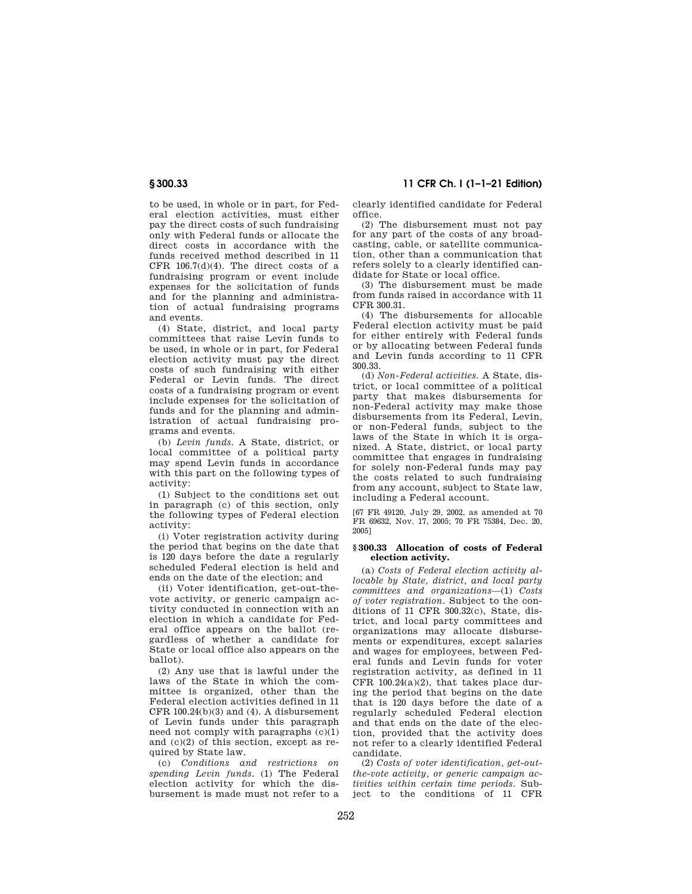# **§ 300.33 11 CFR Ch. I (1–1–21 Edition)**

to be used, in whole or in part, for Federal election activities, must either pay the direct costs of such fundraising only with Federal funds or allocate the direct costs in accordance with the funds received method described in 11 CFR  $106.7(d)(4)$ . The direct costs of a fundraising program or event include expenses for the solicitation of funds and for the planning and administration of actual fundraising programs and events.

(4) State, district, and local party committees that raise Levin funds to be used, in whole or in part, for Federal election activity must pay the direct costs of such fundraising with either Federal or Levin funds. The direct costs of a fundraising program or event include expenses for the solicitation of funds and for the planning and administration of actual fundraising programs and events.

(b) *Levin funds.* A State, district, or local committee of a political party may spend Levin funds in accordance with this part on the following types of activity:

(1) Subject to the conditions set out in paragraph (c) of this section, only the following types of Federal election activity:

(i) Voter registration activity during the period that begins on the date that is 120 days before the date a regularly scheduled Federal election is held and ends on the date of the election; and

(ii) Voter identification, get-out-thevote activity, or generic campaign activity conducted in connection with an election in which a candidate for Federal office appears on the ballot (regardless of whether a candidate for State or local office also appears on the ballot).

(2) Any use that is lawful under the laws of the State in which the committee is organized, other than the Federal election activities defined in 11 CFR  $100.24(b)(3)$  and  $(4)$ . A disbursement of Levin funds under this paragraph need not comply with paragraphs (c)(1) and (c)(2) of this section, except as required by State law.

(c) *Conditions and restrictions on spending Levin funds.* (1) The Federal election activity for which the disbursement is made must not refer to a clearly identified candidate for Federal office.

(2) The disbursement must not pay for any part of the costs of any broadcasting, cable, or satellite communication, other than a communication that refers solely to a clearly identified candidate for State or local office.

(3) The disbursement must be made from funds raised in accordance with 11 CFR 300.31.

(4) The disbursements for allocable Federal election activity must be paid for either entirely with Federal funds or by allocating between Federal funds and Levin funds according to 11 CFR 300.33.

(d) *Non-Federal activities.* A State, district, or local committee of a political party that makes disbursements for non-Federal activity may make those disbursements from its Federal, Levin, or non-Federal funds, subject to the laws of the State in which it is organized. A State, district, or local party committee that engages in fundraising for solely non-Federal funds may pay the costs related to such fundraising from any account, subject to State law, including a Federal account.

[67 FR 49120, July 29, 2002, as amended at 70 FR 69632, Nov. 17, 2005; 70 FR 75384, Dec. 20, 2005]

#### **§ 300.33 Allocation of costs of Federal election activity.**

(a) *Costs of Federal election activity allocable by State, district, and local party committees and organizations*—(1) *Costs of voter registration.* Subject to the conditions of 11 CFR 300.32(c), State, district, and local party committees and organizations may allocate disbursements or expenditures, except salaries and wages for employees, between Federal funds and Levin funds for voter registration activity, as defined in 11 CFR 100.24(a)(2), that takes place during the period that begins on the date that is 120 days before the date of a regularly scheduled Federal election and that ends on the date of the election, provided that the activity does not refer to a clearly identified Federal candidate.

(2) *Costs of voter identification, get-outthe-vote activity, or generic campaign activities within certain time periods.* Subject to the conditions of 11 CFR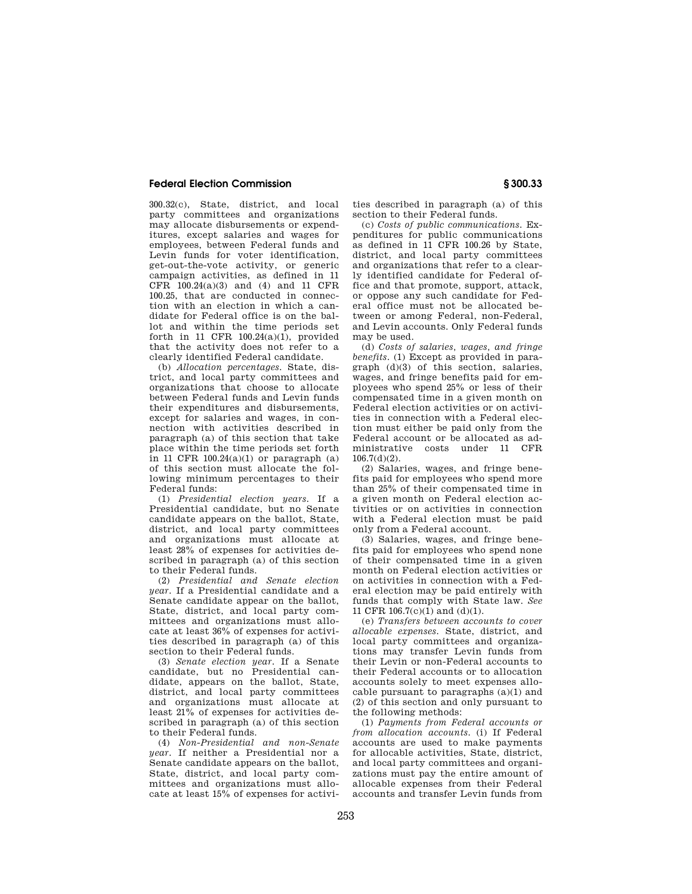300.32(c), State, district, and local party committees and organizations may allocate disbursements or expenditures, except salaries and wages for employees, between Federal funds and Levin funds for voter identification, get-out-the-vote activity, or generic campaign activities, as defined in 11 CFR 100.24(a)(3) and (4) and 11 CFR 100.25, that are conducted in connection with an election in which a candidate for Federal office is on the ballot and within the time periods set forth in 11 CFR  $100.24(a)(1)$ , provided that the activity does not refer to a clearly identified Federal candidate.

(b) *Allocation percentages.* State, district, and local party committees and organizations that choose to allocate between Federal funds and Levin funds their expenditures and disbursements, except for salaries and wages, in connection with activities described in paragraph (a) of this section that take place within the time periods set forth in 11 CFR 100.24 $(a)(1)$  or paragraph  $(a)$ of this section must allocate the following minimum percentages to their Federal funds:

(1) *Presidential election years.* If a Presidential candidate, but no Senate candidate appears on the ballot, State, district, and local party committees and organizations must allocate at least 28% of expenses for activities described in paragraph (a) of this section to their Federal funds.

(2) *Presidential and Senate election year.* If a Presidential candidate and a Senate candidate appear on the ballot, State, district, and local party committees and organizations must allocate at least 36% of expenses for activities described in paragraph (a) of this section to their Federal funds.

(3) *Senate election year.* If a Senate candidate, but no Presidential candidate, appears on the ballot, State, district, and local party committees and organizations must allocate at least 21% of expenses for activities described in paragraph (a) of this section to their Federal funds.

(4) *Non-Presidential and non-Senate year.* If neither a Presidential nor a Senate candidate appears on the ballot, State, district, and local party committees and organizations must allocate at least 15% of expenses for activities described in paragraph (a) of this section to their Federal funds.

(c) *Costs of public communications.* Expenditures for public communications as defined in 11 CFR 100.26 by State, district, and local party committees and organizations that refer to a clearly identified candidate for Federal office and that promote, support, attack, or oppose any such candidate for Federal office must not be allocated between or among Federal, non-Federal, and Levin accounts. Only Federal funds may be used.

(d) *Costs of salaries, wages, and fringe benefits.* (1) Except as provided in paragraph (d)(3) of this section, salaries, wages, and fringe benefits paid for employees who spend 25% or less of their compensated time in a given month on Federal election activities or on activities in connection with a Federal election must either be paid only from the Federal account or be allocated as administrative costs under 11 CFR 106.7(d)(2).

(2) Salaries, wages, and fringe benefits paid for employees who spend more than 25% of their compensated time in a given month on Federal election activities or on activities in connection with a Federal election must be paid only from a Federal account.

(3) Salaries, wages, and fringe benefits paid for employees who spend none of their compensated time in a given month on Federal election activities or on activities in connection with a Federal election may be paid entirely with funds that comply with State law. *See*  11 CFR 106.7(c)(1) and (d)(1).

(e) *Transfers between accounts to cover allocable expenses.* State, district, and local party committees and organizations may transfer Levin funds from their Levin or non-Federal accounts to their Federal accounts or to allocation accounts solely to meet expenses allocable pursuant to paragraphs (a)(1) and (2) of this section and only pursuant to the following methods:

(1) *Payments from Federal accounts or from allocation accounts.* (i) If Federal accounts are used to make payments for allocable activities, State, district, and local party committees and organizations must pay the entire amount of allocable expenses from their Federal accounts and transfer Levin funds from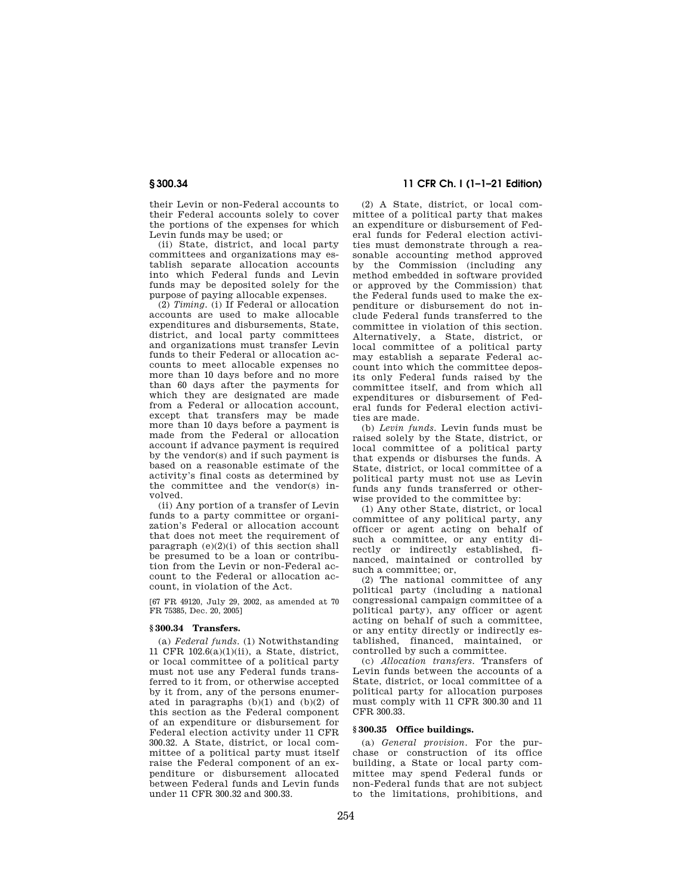their Levin or non-Federal accounts to their Federal accounts solely to cover the portions of the expenses for which Levin funds may be used; or

(ii) State, district, and local party committees and organizations may establish separate allocation accounts into which Federal funds and Levin funds may be deposited solely for the purpose of paying allocable expenses.

(2) *Timing.* (i) If Federal or allocation accounts are used to make allocable expenditures and disbursements, State, district, and local party committees and organizations must transfer Levin funds to their Federal or allocation accounts to meet allocable expenses no more than 10 days before and no more than 60 days after the payments for which they are designated are made from a Federal or allocation account, except that transfers may be made more than 10 days before a payment is made from the Federal or allocation account if advance payment is required by the vendor(s) and if such payment is based on a reasonable estimate of the activity's final costs as determined by the committee and the vendor(s) involved.

(ii) Any portion of a transfer of Levin funds to a party committee or organization's Federal or allocation account that does not meet the requirement of paragraph  $(e)(2)(i)$  of this section shall be presumed to be a loan or contribution from the Levin or non-Federal account to the Federal or allocation account, in violation of the Act.

[67 FR 49120, July 29, 2002, as amended at 70 FR 75385, Dec. 20, 2005]

#### **§ 300.34 Transfers.**

(a) *Federal funds.* (1) Notwithstanding 11 CFR 102.6(a)(1)(ii), a State, district, or local committee of a political party must not use any Federal funds transferred to it from, or otherwise accepted by it from, any of the persons enumerated in paragraphs  $(b)(1)$  and  $(b)(2)$  of this section as the Federal component of an expenditure or disbursement for Federal election activity under 11 CFR 300.32. A State, district, or local committee of a political party must itself raise the Federal component of an expenditure or disbursement allocated between Federal funds and Levin funds under 11 CFR 300.32 and 300.33.

# **§ 300.34 11 CFR Ch. I (1–1–21 Edition)**

(2) A State, district, or local committee of a political party that makes an expenditure or disbursement of Federal funds for Federal election activities must demonstrate through a reasonable accounting method approved by the Commission (including any method embedded in software provided or approved by the Commission) that the Federal funds used to make the expenditure or disbursement do not include Federal funds transferred to the committee in violation of this section. Alternatively, a State, district, or local committee of a political party may establish a separate Federal account into which the committee deposits only Federal funds raised by the committee itself, and from which all expenditures or disbursement of Federal funds for Federal election activities are made.

(b) *Levin funds.* Levin funds must be raised solely by the State, district, or local committee of a political party that expends or disburses the funds. A State, district, or local committee of a political party must not use as Levin funds any funds transferred or otherwise provided to the committee by:

(1) Any other State, district, or local committee of any political party, any officer or agent acting on behalf of such a committee, or any entity directly or indirectly established, financed, maintained or controlled by such a committee; or,

(2) The national committee of any political party (including a national congressional campaign committee of a political party), any officer or agent acting on behalf of such a committee, or any entity directly or indirectly established, financed, maintained, or controlled by such a committee.

(c) *Allocation transfers.* Transfers of Levin funds between the accounts of a State, district, or local committee of a political party for allocation purposes must comply with 11 CFR 300.30 and 11 CFR 300.33.

#### **§ 300.35 Office buildings.**

(a) *General provision.* For the purchase or construction of its office building, a State or local party committee may spend Federal funds or non-Federal funds that are not subject to the limitations, prohibitions, and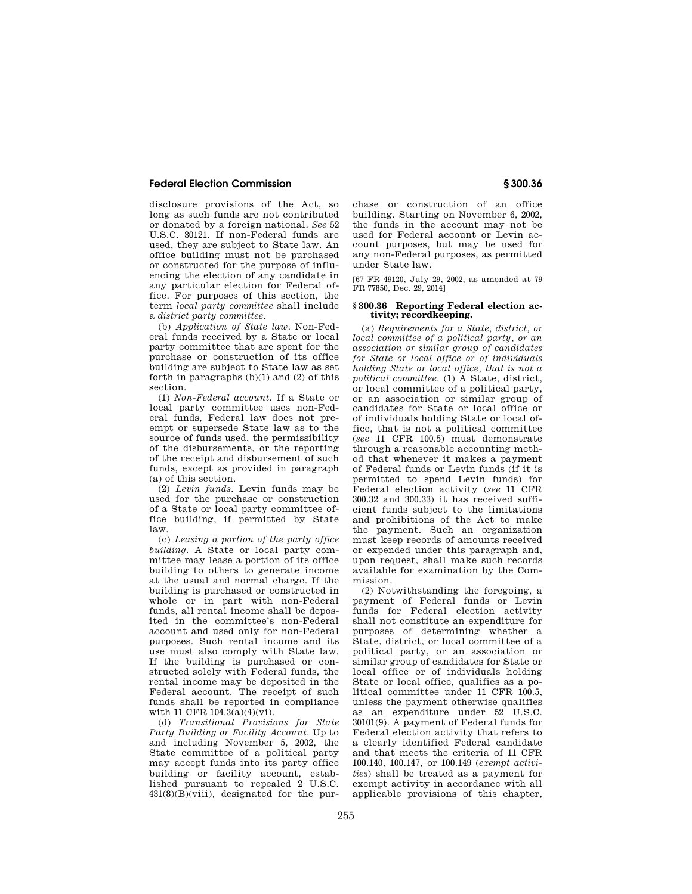disclosure provisions of the Act, so long as such funds are not contributed or donated by a foreign national. *See* 52 U.S.C. 30121. If non-Federal funds are used, they are subject to State law. An office building must not be purchased or constructed for the purpose of influencing the election of any candidate in any particular election for Federal office. For purposes of this section, the term *local party committee* shall include a *district party committee.* 

(b) *Application of State law.* Non-Federal funds received by a State or local party committee that are spent for the purchase or construction of its office building are subject to State law as set forth in paragraphs (b)(1) and (2) of this section.

(1) *Non-Federal account.* If a State or local party committee uses non-Federal funds, Federal law does not preempt or supersede State law as to the source of funds used, the permissibility of the disbursements, or the reporting of the receipt and disbursement of such funds, except as provided in paragraph (a) of this section.

(2) *Levin funds.* Levin funds may be used for the purchase or construction of a State or local party committee office building, if permitted by State law.

(c) *Leasing a portion of the party office building.* A State or local party committee may lease a portion of its office building to others to generate income at the usual and normal charge. If the building is purchased or constructed in whole or in part with non-Federal funds, all rental income shall be deposited in the committee's non-Federal account and used only for non-Federal purposes. Such rental income and its use must also comply with State law. If the building is purchased or constructed solely with Federal funds, the rental income may be deposited in the Federal account. The receipt of such funds shall be reported in compliance with 11 CFR 104.3(a)(4)(vi).

(d) *Transitional Provisions for State Party Building or Facility Account.* Up to and including November 5, 2002, the State committee of a political party may accept funds into its party office building or facility account, established pursuant to repealed 2 U.S.C.  $431(8)(B)(viii)$ , designated for the pur-

chase or construction of an office building. Starting on November 6, 2002, the funds in the account may not be used for Federal account or Levin account purposes, but may be used for any non-Federal purposes, as permitted under State law.

[67 FR 49120, July 29, 2002, as amended at 79 FR 77850, Dec. 29, 2014]

#### **§ 300.36 Reporting Federal election activity; recordkeeping.**

(a) *Requirements for a State, district, or local committee of a political party, or an association or similar group of candidates for State or local office or of individuals holding State or local office, that is not a political committee.* (1) A State, district, or local committee of a political party, or an association or similar group of candidates for State or local office or of individuals holding State or local office, that is not a political committee (*see* 11 CFR 100.5) must demonstrate through a reasonable accounting method that whenever it makes a payment of Federal funds or Levin funds (if it is permitted to spend Levin funds) for Federal election activity (*see* 11 CFR 300.32 and 300.33) it has received sufficient funds subject to the limitations and prohibitions of the Act to make the payment. Such an organization must keep records of amounts received or expended under this paragraph and, upon request, shall make such records available for examination by the Commission.

(2) Notwithstanding the foregoing, a payment of Federal funds or Levin funds for Federal election activity shall not constitute an expenditure for purposes of determining whether a State, district, or local committee of a political party, or an association or similar group of candidates for State or local office or of individuals holding State or local office, qualifies as a political committee under 11 CFR 100.5, unless the payment otherwise qualifies as an expenditure under 52 U.S.C. 30101(9). A payment of Federal funds for Federal election activity that refers to a clearly identified Federal candidate and that meets the criteria of 11 CFR 100.140, 100.147, or 100.149 (*exempt activities*) shall be treated as a payment for exempt activity in accordance with all applicable provisions of this chapter,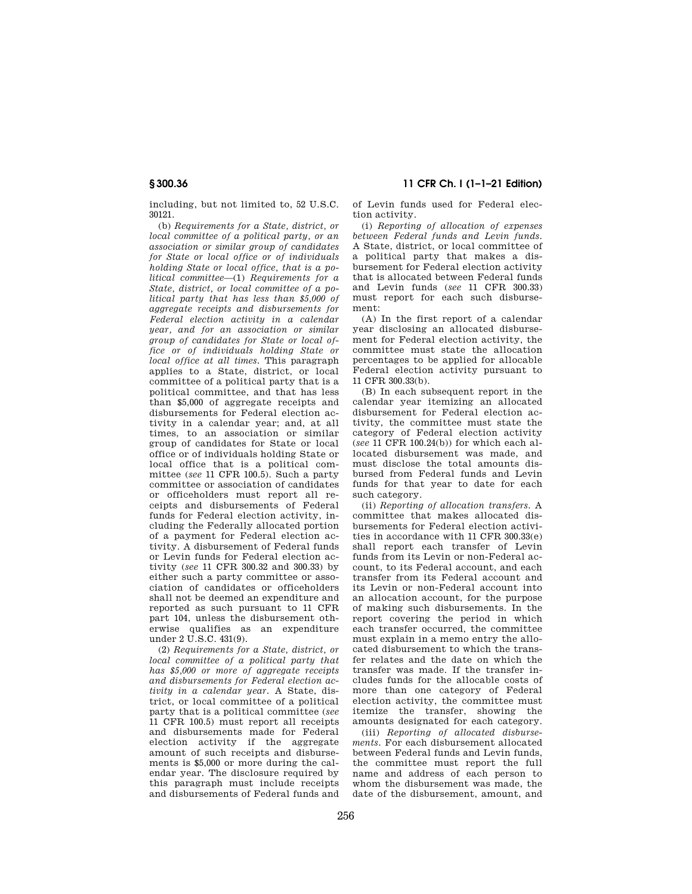including, but not limited to, 52 U.S.C. 30121.

(b) *Requirements for a State, district, or local committee of a political party, or an association or similar group of candidates for State or local office or of individuals holding State or local office, that is a political committee*—(1) *Requirements for a State, district, or local committee of a political party that has less than \$5,000 of aggregate receipts and disbursements for Federal election activity in a calendar year, and for an association or similar group of candidates for State or local office or of individuals holding State or local office at all times.* This paragraph applies to a State, district, or local committee of a political party that is a political committee, and that has less than \$5,000 of aggregate receipts and disbursements for Federal election activity in a calendar year; and, at all times, to an association or similar group of candidates for State or local office or of individuals holding State or local office that is a political committee (*see* 11 CFR 100.5). Such a party committee or association of candidates or officeholders must report all receipts and disbursements of Federal funds for Federal election activity, including the Federally allocated portion of a payment for Federal election activity. A disbursement of Federal funds or Levin funds for Federal election activity (*see* 11 CFR 300.32 and 300.33) by either such a party committee or association of candidates or officeholders shall not be deemed an expenditure and reported as such pursuant to 11 CFR part 104, unless the disbursement otherwise qualifies as an expenditure under 2 U.S.C. 431(9).

(2) *Requirements for a State, district, or local committee of a political party that has \$5,000 or more of aggregate receipts and disbursements for Federal election activity in a calendar year.* A State, district, or local committee of a political party that is a political committee (*see*  11 CFR 100.5) must report all receipts and disbursements made for Federal election activity if the aggregate amount of such receipts and disbursements is \$5,000 or more during the calendar year. The disclosure required by this paragraph must include receipts and disbursements of Federal funds and

**§ 300.36 11 CFR Ch. I (1–1–21 Edition)** 

of Levin funds used for Federal election activity.

(i) *Reporting of allocation of expenses between Federal funds and Levin funds.*  A State, district, or local committee of a political party that makes a disbursement for Federal election activity that is allocated between Federal funds and Levin funds (*see* 11 CFR 300.33) must report for each such disbursement:

(A) In the first report of a calendar year disclosing an allocated disbursement for Federal election activity, the committee must state the allocation percentages to be applied for allocable Federal election activity pursuant to 11 CFR 300.33(b).

(B) In each subsequent report in the calendar year itemizing an allocated disbursement for Federal election activity, the committee must state the category of Federal election activity (*see* 11 CFR 100.24(b)) for which each allocated disbursement was made, and must disclose the total amounts disbursed from Federal funds and Levin funds for that year to date for each such category.

(ii) *Reporting of allocation transfers.* A committee that makes allocated disbursements for Federal election activities in accordance with 11 CFR 300.33(e) shall report each transfer of Levin funds from its Levin or non-Federal account, to its Federal account, and each transfer from its Federal account and its Levin or non-Federal account into an allocation account, for the purpose of making such disbursements. In the report covering the period in which each transfer occurred, the committee must explain in a memo entry the allocated disbursement to which the transfer relates and the date on which the transfer was made. If the transfer includes funds for the allocable costs of more than one category of Federal election activity, the committee must itemize the transfer, showing the amounts designated for each category.

(iii) *Reporting of allocated disbursements.* For each disbursement allocated between Federal funds and Levin funds, the committee must report the full name and address of each person to whom the disbursement was made, the date of the disbursement, amount, and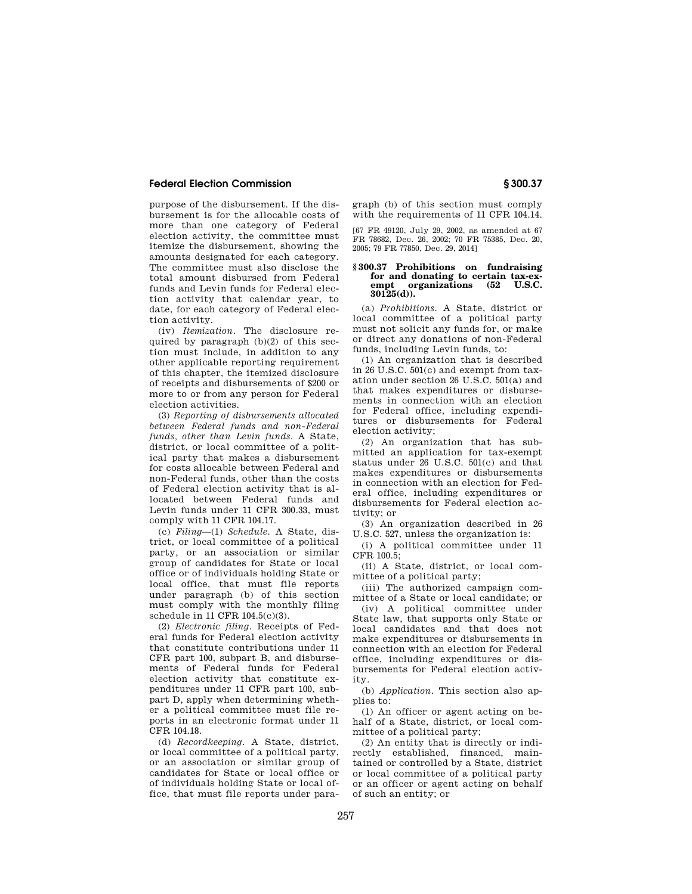purpose of the disbursement. If the disbursement is for the allocable costs of more than one category of Federal election activity, the committee must itemize the disbursement, showing the amounts designated for each category. The committee must also disclose the total amount disbursed from Federal funds and Levin funds for Federal election activity that calendar year, to date, for each category of Federal election activity.

(iv) *Itemization.* The disclosure required by paragraph (b)(2) of this section must include, in addition to any other applicable reporting requirement of this chapter, the itemized disclosure of receipts and disbursements of \$200 or more to or from any person for Federal election activities.

(3) *Reporting of disbursements allocated between Federal funds and non-Federal funds, other than Levin funds.* A State, district, or local committee of a political party that makes a disbursement for costs allocable between Federal and non-Federal funds, other than the costs of Federal election activity that is allocated between Federal funds and Levin funds under 11 CFR 300.33, must comply with 11 CFR 104.17.

(c) *Filing*—(1) *Schedule.* A State, district, or local committee of a political party, or an association or similar group of candidates for State or local office or of individuals holding State or local office, that must file reports under paragraph (b) of this section must comply with the monthly filing schedule in 11 CFR 104.5(c)(3).

(2) *Electronic filing.* Receipts of Federal funds for Federal election activity that constitute contributions under 11 CFR part 100, subpart B, and disbursements of Federal funds for Federal election activity that constitute expenditures under 11 CFR part 100, subpart D, apply when determining whether a political committee must file reports in an electronic format under 11 CFR 104.18.

(d) *Recordkeeping.* A State, district, or local committee of a political party, or an association or similar group of candidates for State or local office or of individuals holding State or local office, that must file reports under paragraph (b) of this section must comply with the requirements of 11 CFR 104.14.

[67 FR 49120, July 29, 2002, as amended at 67 FR 78682, Dec. 26, 2002; 70 FR 75385, Dec. 20, 2005; 79 FR 77850, Dec. 29, 2014]

#### **§ 300.37 Prohibitions on fundraising for and donating to certain tax-exempt organizations (52 U.S.C. 30125(d)).**

(a) *Prohibitions.* A State, district or local committee of a political party must not solicit any funds for, or make or direct any donations of non-Federal funds, including Levin funds, to:

(1) An organization that is described in 26 U.S.C. 501(c) and exempt from taxation under section 26 U.S.C. 501(a) and that makes expenditures or disbursements in connection with an election for Federal office, including expenditures or disbursements for Federal election activity;

(2) An organization that has submitted an application for tax-exempt status under 26 U.S.C. 501(c) and that makes expenditures or disbursements in connection with an election for Federal office, including expenditures or disbursements for Federal election activity; or

(3) An organization described in 26 U.S.C. 527, unless the organization is:

(i) A political committee under 11 CFR 100.5;

(ii) A State, district, or local committee of a political party;

(iii) The authorized campaign committee of a State or local candidate; or

(iv) A political committee under State law, that supports only State or local candidates and that does not make expenditures or disbursements in connection with an election for Federal office, including expenditures or disbursements for Federal election activity.

(b) *Application.* This section also applies to:

(1) An officer or agent acting on behalf of a State, district, or local committee of a political party;

(2) An entity that is directly or indirectly established, financed, maintained or controlled by a State, district or local committee of a political party or an officer or agent acting on behalf of such an entity; or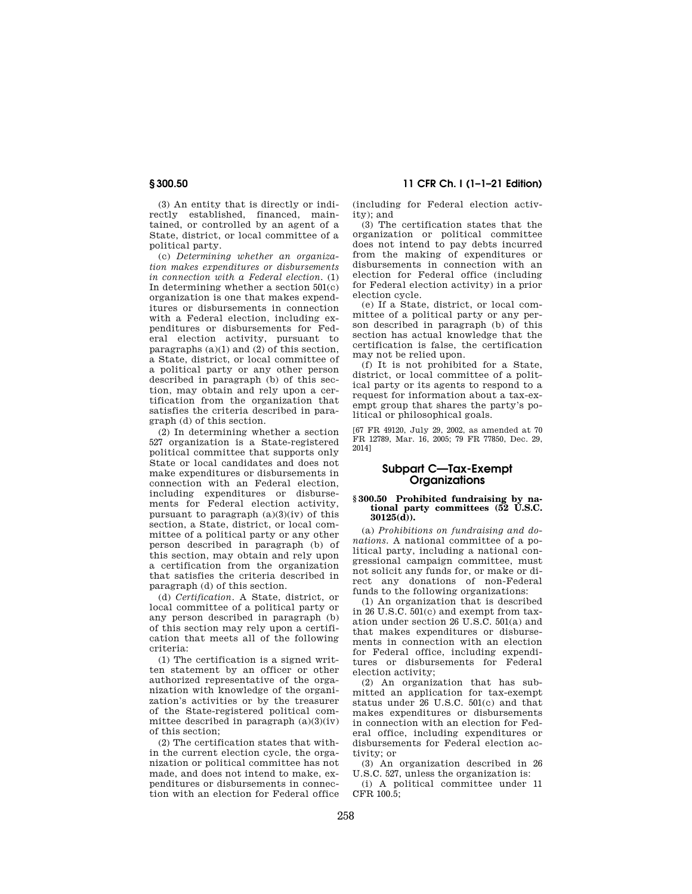**§ 300.50 11 CFR Ch. I (1–1–21 Edition)** 

(3) An entity that is directly or indirectly established, financed, maintained, or controlled by an agent of a State, district, or local committee of a political party.

(c) *Determining whether an organization makes expenditures or disbursements in connection with a Federal election.* (1) In determining whether a section 501(c) organization is one that makes expenditures or disbursements in connection with a Federal election, including expenditures or disbursements for Federal election activity, pursuant to paragraphs (a)(1) and (2) of this section, a State, district, or local committee of a political party or any other person described in paragraph (b) of this section, may obtain and rely upon a certification from the organization that satisfies the criteria described in paragraph (d) of this section.

(2) In determining whether a section 527 organization is a State-registered political committee that supports only State or local candidates and does not make expenditures or disbursements in connection with an Federal election, including expenditures or disbursements for Federal election activity, pursuant to paragraph (a)(3)(iv) of this section, a State, district, or local committee of a political party or any other person described in paragraph (b) of this section, may obtain and rely upon a certification from the organization that satisfies the criteria described in paragraph (d) of this section.

(d) *Certification.* A State, district, or local committee of a political party or any person described in paragraph (b) of this section may rely upon a certification that meets all of the following criteria:

(1) The certification is a signed written statement by an officer or other authorized representative of the organization with knowledge of the organization's activities or by the treasurer of the State-registered political committee described in paragraph  $(a)(3)(iv)$ of this section;

(2) The certification states that within the current election cycle, the organization or political committee has not made, and does not intend to make, expenditures or disbursements in connection with an election for Federal office (including for Federal election activity); and

(3) The certification states that the organization or political committee does not intend to pay debts incurred from the making of expenditures or disbursements in connection with an election for Federal office (including for Federal election activity) in a prior election cycle.

(e) If a State, district, or local committee of a political party or any person described in paragraph (b) of this section has actual knowledge that the certification is false, the certification may not be relied upon.

(f) It is not prohibited for a State, district, or local committee of a political party or its agents to respond to a request for information about a tax-exempt group that shares the party's political or philosophical goals.

[67 FR 49120, July 29, 2002, as amended at 70 FR 12789, Mar. 16, 2005; 79 FR 77850, Dec. 29, 2014]

#### **Subpart C—Tax-Exempt Organizations**

#### **§ 300.50 Prohibited fundraising by national party committees (52 U.S.C. 30125(d)).**

(a) *Prohibitions on fundraising and donations.* A national committee of a political party, including a national congressional campaign committee, must not solicit any funds for, or make or direct any donations of non-Federal funds to the following organizations:

(1) An organization that is described in 26 U.S.C. 501(c) and exempt from taxation under section 26 U.S.C. 501(a) and that makes expenditures or disbursements in connection with an election for Federal office, including expenditures or disbursements for Federal election activity;

(2) An organization that has submitted an application for tax-exempt status under 26 U.S.C. 501(c) and that makes expenditures or disbursements in connection with an election for Federal office, including expenditures or disbursements for Federal election activity; or

(3) An organization described in 26 U.S.C. 527, unless the organization is:

(i) A political committee under 11  $CFR$  100 $5$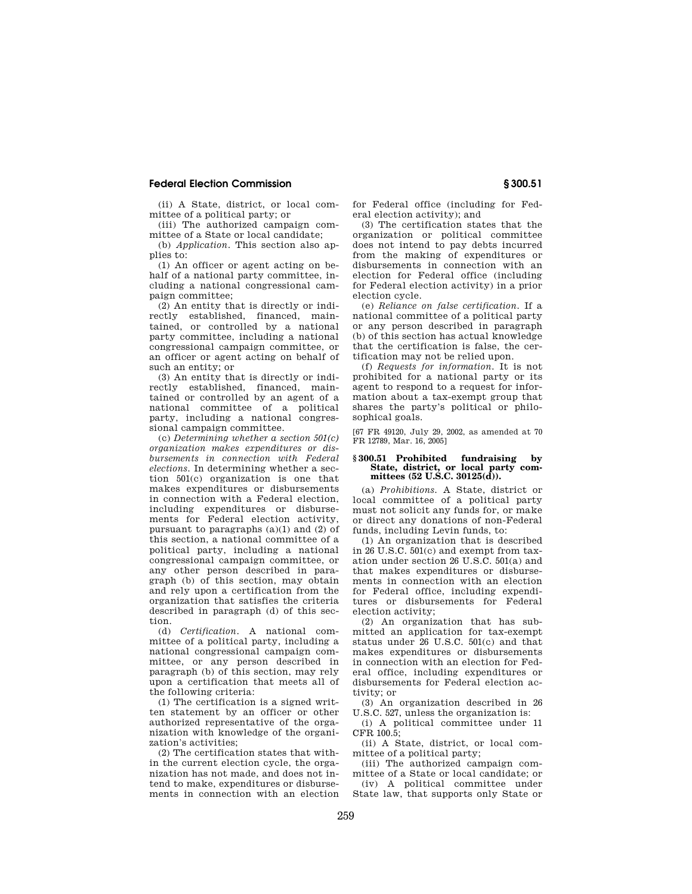(ii) A State, district, or local committee of a political party; or

(iii) The authorized campaign committee of a State or local candidate;

(b) *Application.* This section also applies to:

(1) An officer or agent acting on behalf of a national party committee, including a national congressional campaign committee;

(2) An entity that is directly or indirectly established, financed, maintained, or controlled by a national party committee, including a national congressional campaign committee, or an officer or agent acting on behalf of such an entity; or

(3) An entity that is directly or indirectly established, financed, maintained or controlled by an agent of a national committee of a political party, including a national congressional campaign committee.

(c) *Determining whether a section 501(c) organization makes expenditures or disbursements in connection with Federal elections.* In determining whether a section 501(c) organization is one that makes expenditures or disbursements in connection with a Federal election, including expenditures or disbursements for Federal election activity, pursuant to paragraphs  $(a)(1)$  and  $(2)$  of this section, a national committee of a political party, including a national congressional campaign committee, or any other person described in paragraph (b) of this section, may obtain and rely upon a certification from the organization that satisfies the criteria described in paragraph (d) of this section.

(d) *Certification.* A national committee of a political party, including a national congressional campaign committee, or any person described in paragraph (b) of this section, may rely upon a certification that meets all of the following criteria:

(1) The certification is a signed written statement by an officer or other authorized representative of the organization with knowledge of the organization's activities;

(2) The certification states that within the current election cycle, the organization has not made, and does not intend to make, expenditures or disbursements in connection with an election for Federal office (including for Federal election activity); and

(3) The certification states that the organization or political committee does not intend to pay debts incurred from the making of expenditures or disbursements in connection with an election for Federal office (including for Federal election activity) in a prior election cycle.

(e) *Reliance on false certification.* If a national committee of a political party or any person described in paragraph (b) of this section has actual knowledge that the certification is false, the certification may not be relied upon.

(f) *Requests for information.* It is not prohibited for a national party or its agent to respond to a request for information about a tax-exempt group that shares the party's political or philosophical goals.

[67 FR 49120, July 29, 2002, as amended at 70 FR 12789, Mar. 16, 2005]

#### **§ 300.51 Prohibited fundraising by State, district, or local party committees (52 U.S.C. 30125(d)).**

(a) *Prohibitions.* A State, district or local committee of a political party must not solicit any funds for, or make or direct any donations of non-Federal funds, including Levin funds, to:

(1) An organization that is described in 26 U.S.C. 501(c) and exempt from taxation under section 26 U.S.C. 501(a) and that makes expenditures or disbursements in connection with an election for Federal office, including expenditures or disbursements for Federal election activity;

(2) An organization that has submitted an application for tax-exempt status under 26 U.S.C. 501(c) and that makes expenditures or disbursements in connection with an election for Federal office, including expenditures or disbursements for Federal election activity; or

(3) An organization described in 26 U.S.C. 527, unless the organization is:

(i) A political committee under 11 CFR 100.5;

(ii) A State, district, or local committee of a political party;

(iii) The authorized campaign committee of a State or local candidate; or

(iv) A political committee under State law, that supports only State or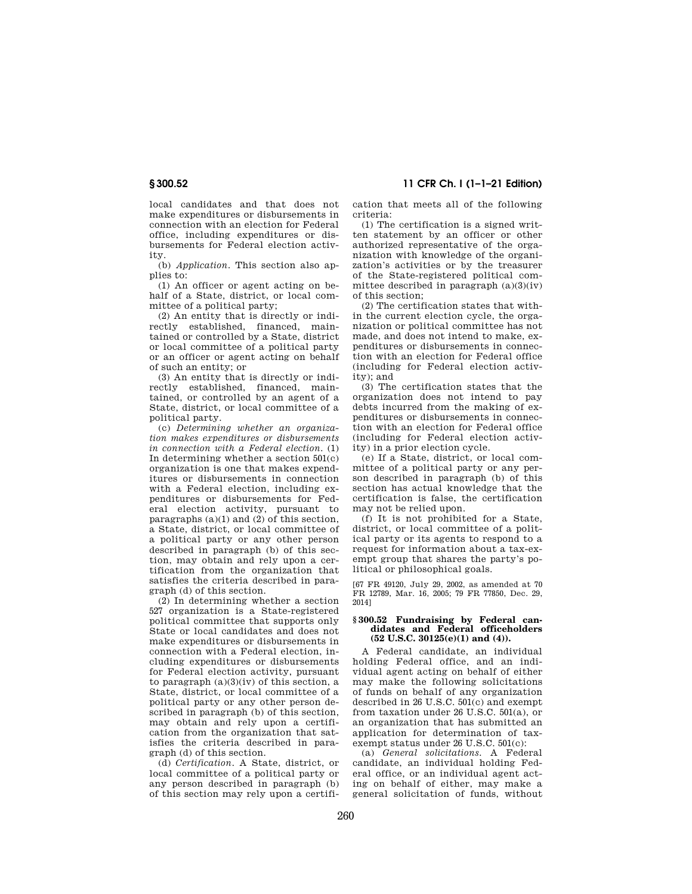local candidates and that does not make expenditures or disbursements in connection with an election for Federal office, including expenditures or disbursements for Federal election activity.

(b) *Application.* This section also applies to:

(1) An officer or agent acting on behalf of a State, district, or local committee of a political party;

(2) An entity that is directly or indirectly established, financed, maintained or controlled by a State, district or local committee of a political party or an officer or agent acting on behalf of such an entity; or

(3) An entity that is directly or indirectly established, financed, maintained, or controlled by an agent of a State, district, or local committee of a political party.

(c) *Determining whether an organization makes expenditures or disbursements in connection with a Federal election.* (1) In determining whether a section 501(c) organization is one that makes expenditures or disbursements in connection with a Federal election, including expenditures or disbursements for Federal election activity, pursuant to paragraphs (a)(1) and (2) of this section, a State, district, or local committee of a political party or any other person described in paragraph (b) of this section, may obtain and rely upon a certification from the organization that satisfies the criteria described in paragraph (d) of this section.

(2) In determining whether a section 527 organization is a State-registered political committee that supports only State or local candidates and does not make expenditures or disbursements in connection with a Federal election, including expenditures or disbursements for Federal election activity, pursuant to paragraph  $(a)(3)(iv)$  of this section, a State, district, or local committee of a political party or any other person described in paragraph (b) of this section, may obtain and rely upon a certification from the organization that satisfies the criteria described in paragraph (d) of this section.

(d) *Certification.* A State, district, or local committee of a political party or any person described in paragraph (b) of this section may rely upon a certification that meets all of the following criteria:

(1) The certification is a signed written statement by an officer or other authorized representative of the organization with knowledge of the organization's activities or by the treasurer of the State-registered political committee described in paragraph (a)(3)(iv) of this section;

(2) The certification states that within the current election cycle, the organization or political committee has not made, and does not intend to make, expenditures or disbursements in connection with an election for Federal office (including for Federal election activity); and

(3) The certification states that the organization does not intend to pay debts incurred from the making of expenditures or disbursements in connection with an election for Federal office (including for Federal election activity) in a prior election cycle.

(e) If a State, district, or local committee of a political party or any person described in paragraph (b) of this section has actual knowledge that the certification is false, the certification may not be relied upon.

(f) It is not prohibited for a State, district, or local committee of a political party or its agents to respond to a request for information about a tax-exempt group that shares the party's political or philosophical goals.

[67 FR 49120, July 29, 2002, as amended at 70 FR 12789, Mar. 16, 2005; 79 FR 77850, Dec. 29, 2014]

#### **§ 300.52 Fundraising by Federal candidates and Federal officeholders (52 U.S.C. 30125(e)(1) and (4)).**

A Federal candidate, an individual holding Federal office, and an individual agent acting on behalf of either may make the following solicitations of funds on behalf of any organization described in 26 U.S.C. 501(c) and exempt from taxation under 26 U.S.C. 501(a), or an organization that has submitted an application for determination of taxexempt status under 26 U.S.C. 501(c):

(a) *General solicitations.* A Federal candidate, an individual holding Federal office, or an individual agent acting on behalf of either, may make a general solicitation of funds, without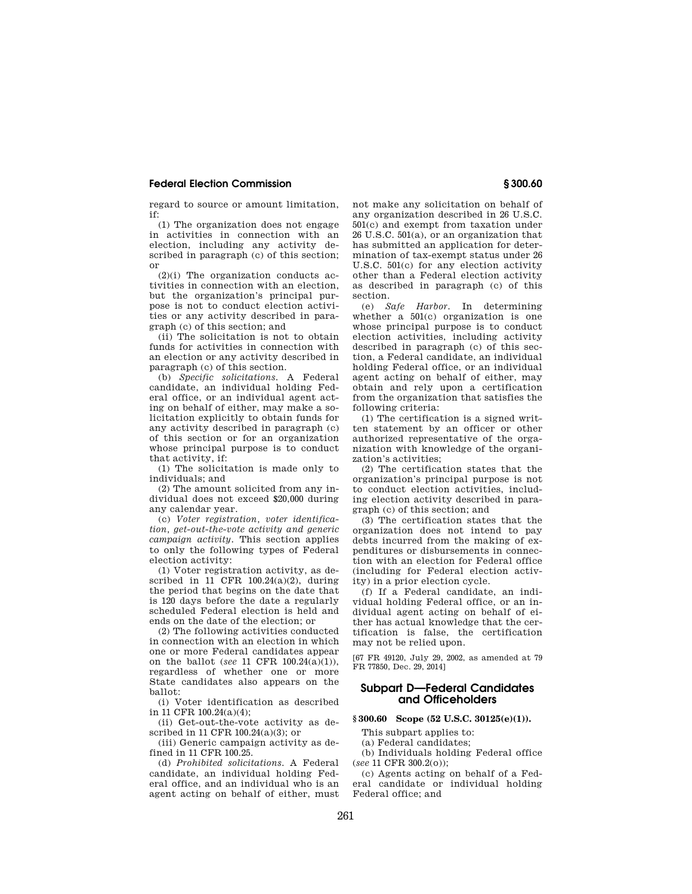regard to source or amount limitation, if:

(1) The organization does not engage in activities in connection with an election, including any activity described in paragraph (c) of this section; or

 $(2)(i)$  The organization conducts activities in connection with an election, but the organization's principal purpose is not to conduct election activities or any activity described in paragraph (c) of this section; and

(ii) The solicitation is not to obtain funds for activities in connection with an election or any activity described in paragraph (c) of this section.

(b) *Specific solicitations.* A Federal candidate, an individual holding Federal office, or an individual agent acting on behalf of either, may make a solicitation explicitly to obtain funds for any activity described in paragraph (c) of this section or for an organization whose principal purpose is to conduct that activity, if:

(1) The solicitation is made only to individuals; and

(2) The amount solicited from any individual does not exceed \$20,000 during any calendar year.

(c) *Voter registration, voter identification, get-out-the-vote activity and generic campaign activity.* This section applies to only the following types of Federal election activity:

(1) Voter registration activity, as described in 11 CFR  $100.24(a)(2)$ , during the period that begins on the date that is 120 days before the date a regularly scheduled Federal election is held and ends on the date of the election; or

(2) The following activities conducted in connection with an election in which one or more Federal candidates appear on the ballot (*see* 11 CFR 100.24(a)(1)), regardless of whether one or more State candidates also appears on the ballot:

(i) Voter identification as described in 11 CFR 100.24(a)(4);

(ii) Get-out-the-vote activity as described in 11 CFR 100.24(a)(3); or

(iii) Generic campaign activity as defined in 11 CFR 100.25.

(d) *Prohibited solicitations.* A Federal candidate, an individual holding Federal office, and an individual who is an agent acting on behalf of either, must not make any solicitation on behalf of any organization described in 26 U.S.C. 501(c) and exempt from taxation under 26 U.S.C. 501(a), or an organization that has submitted an application for determination of tax-exempt status under 26 U.S.C. 501(c) for any election activity other than a Federal election activity as described in paragraph (c) of this section.

(e) *Safe Harbor.* In determining whether a 501(c) organization is one whose principal purpose is to conduct election activities, including activity described in paragraph (c) of this section, a Federal candidate, an individual holding Federal office, or an individual agent acting on behalf of either, may obtain and rely upon a certification from the organization that satisfies the following criteria:

(1) The certification is a signed written statement by an officer or other authorized representative of the organization with knowledge of the organization's activities;

(2) The certification states that the organization's principal purpose is not to conduct election activities, including election activity described in paragraph (c) of this section; and

(3) The certification states that the organization does not intend to pay debts incurred from the making of expenditures or disbursements in connection with an election for Federal office (including for Federal election activity) in a prior election cycle.

(f) If a Federal candidate, an individual holding Federal office, or an individual agent acting on behalf of either has actual knowledge that the certification is false, the certification may not be relied upon.

[67 FR 49120, July 29, 2002, as amended at 79 FR 77850, Dec. 29, 2014]

### **Subpart D—Federal Candidates and Officeholders**

#### **§ 300.60 Scope (52 U.S.C. 30125(e)(1)).**

This subpart applies to:

(a) Federal candidates;

(b) Individuals holding Federal office (*see* 11 CFR 300.2(o));

(c) Agents acting on behalf of a Federal candidate or individual holding Federal office; and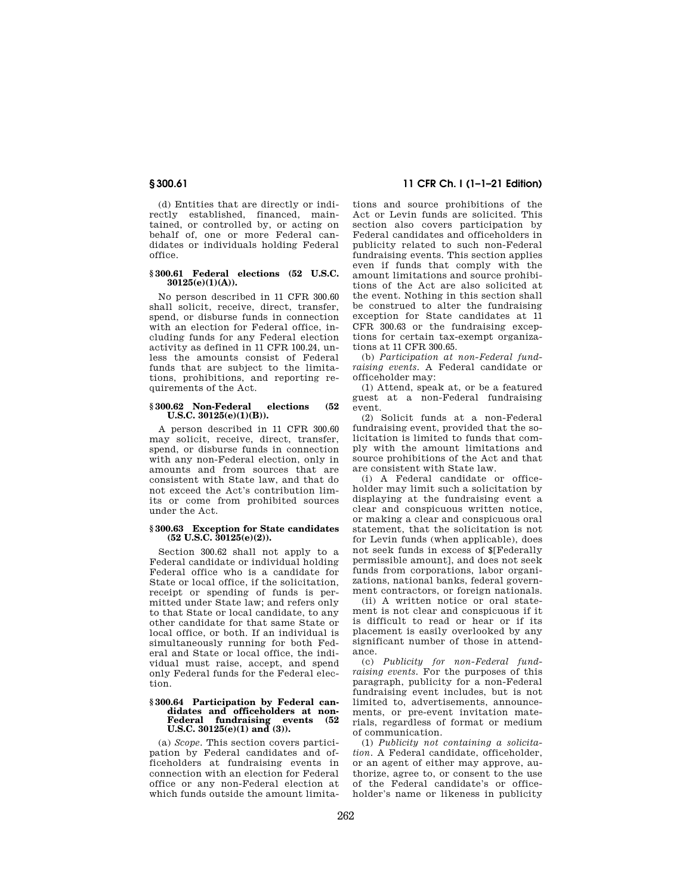(d) Entities that are directly or indirectly established, financed, maintained, or controlled by, or acting on behalf of, one or more Federal candidates or individuals holding Federal office.

#### **§ 300.61 Federal elections (52 U.S.C. 30125(e)(1)(A)).**

No person described in 11 CFR 300.60 shall solicit, receive, direct, transfer, spend, or disburse funds in connection with an election for Federal office, including funds for any Federal election activity as defined in 11 CFR 100.24, unless the amounts consist of Federal funds that are subject to the limitations, prohibitions, and reporting requirements of the Act.

#### **§ 300.62 Non-Federal elections (52 U.S.C. 30125(e)(1)(B)).**

A person described in 11 CFR 300.60 may solicit, receive, direct, transfer, spend, or disburse funds in connection with any non-Federal election, only in amounts and from sources that are consistent with State law, and that do not exceed the Act's contribution limits or come from prohibited sources under the Act.

#### **§ 300.63 Exception for State candidates (52 U.S.C. 30125(e)(2)).**

Section 300.62 shall not apply to a Federal candidate or individual holding Federal office who is a candidate for State or local office, if the solicitation, receipt or spending of funds is permitted under State law; and refers only to that State or local candidate, to any other candidate for that same State or local office, or both. If an individual is simultaneously running for both Federal and State or local office, the individual must raise, accept, and spend only Federal funds for the Federal election.

#### **§ 300.64 Participation by Federal candidates and officeholders at non-Federal fundraising events (52 U.S.C. 30125(e)(1) and (3)).**

(a) *Scope.* This section covers participation by Federal candidates and officeholders at fundraising events in connection with an election for Federal office or any non-Federal election at which funds outside the amount limita-

# **§ 300.61 11 CFR Ch. I (1–1–21 Edition)**

tions and source prohibitions of the Act or Levin funds are solicited. This section also covers participation by Federal candidates and officeholders in publicity related to such non-Federal fundraising events. This section applies even if funds that comply with the amount limitations and source prohibitions of the Act are also solicited at the event. Nothing in this section shall be construed to alter the fundraising exception for State candidates at 11  $CFR$  300.63 or the fundraising exceptions for certain tax-exempt organizations at 11 CFR 300.65.

(b) *Participation at non-Federal fundraising events.* A Federal candidate or officeholder may:

(1) Attend, speak at, or be a featured guest at a non-Federal fundraising event.

(2) Solicit funds at a non-Federal fundraising event, provided that the solicitation is limited to funds that comply with the amount limitations and source prohibitions of the Act and that are consistent with State law.

(i) A Federal candidate or officeholder may limit such a solicitation by displaying at the fundraising event a clear and conspicuous written notice, or making a clear and conspicuous oral statement, that the solicitation is not for Levin funds (when applicable), does not seek funds in excess of \$[Federally permissible amount], and does not seek funds from corporations, labor organizations, national banks, federal government contractors, or foreign nationals.

(ii) A written notice or oral statement is not clear and conspicuous if it is difficult to read or hear or if its placement is easily overlooked by any significant number of those in attendance.

(c) *Publicity for non-Federal fundraising events.* For the purposes of this paragraph, publicity for a non-Federal fundraising event includes, but is not limited to, advertisements, announcements, or pre-event invitation materials, regardless of format or medium of communication.

(1) *Publicity not containing a solicitation.* A Federal candidate, officeholder, or an agent of either may approve, authorize, agree to, or consent to the use of the Federal candidate's or officeholder's name or likeness in publicity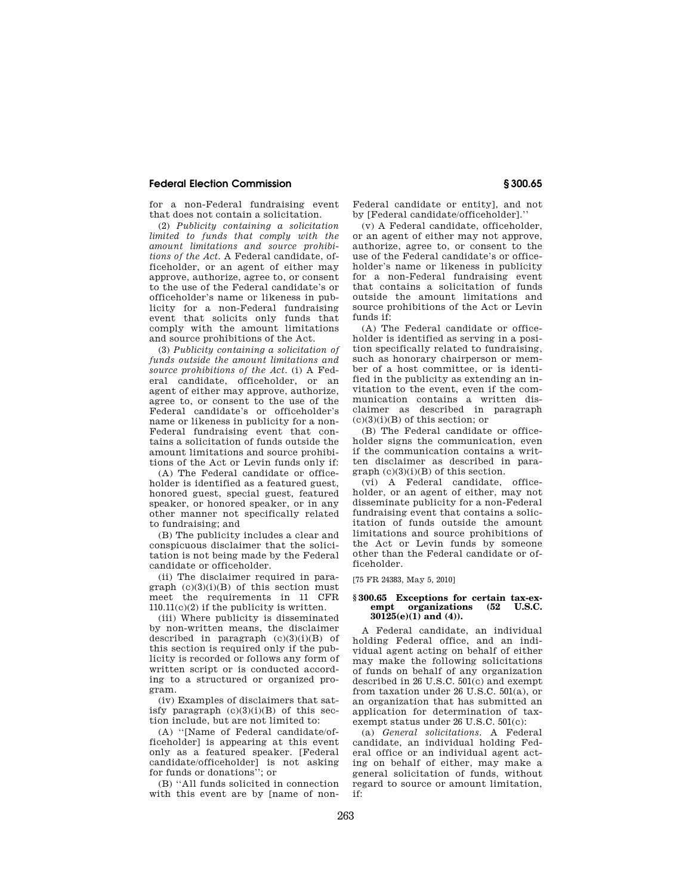for a non-Federal fundraising event that does not contain a solicitation.

(2) *Publicity containing a solicitation limited to funds that comply with the amount limitations and source prohibitions of the Act.* A Federal candidate, officeholder, or an agent of either may approve, authorize, agree to, or consent to the use of the Federal candidate's or officeholder's name or likeness in publicity for a non-Federal fundraising event that solicits only funds that comply with the amount limitations and source prohibitions of the Act.

(3) *Publicity containing a solicitation of funds outside the amount limitations and source prohibitions of the Act.* (i) A Federal candidate, officeholder, or an agent of either may approve, authorize, agree to, or consent to the use of the Federal candidate's or officeholder's name or likeness in publicity for a non-Federal fundraising event that contains a solicitation of funds outside the amount limitations and source prohibitions of the Act or Levin funds only if:

(A) The Federal candidate or officeholder is identified as a featured guest, honored guest, special guest, featured speaker, or honored speaker, or in any other manner not specifically related to fundraising; and

(B) The publicity includes a clear and conspicuous disclaimer that the solicitation is not being made by the Federal candidate or officeholder.

(ii) The disclaimer required in paragraph  $(c)(3)(i)(B)$  of this section must meet the requirements in 11 CFR 110.11(c)(2) if the publicity is written.

(iii) Where publicity is disseminated by non-written means, the disclaimer described in paragraph (c)(3)(i)(B) of this section is required only if the publicity is recorded or follows any form of written script or is conducted according to a structured or organized program.

(iv) Examples of disclaimers that satisfy paragraph  $(c)(3)(i)(B)$  of this section include, but are not limited to:

(A) ''[Name of Federal candidate/officeholder] is appearing at this event only as a featured speaker. [Federal candidate/officeholder] is not asking for funds or donations''; or

(B) ''All funds solicited in connection with this event are by [name of nonFederal candidate or entity], and not by [Federal candidate/officeholder].''

(v) A Federal candidate, officeholder, or an agent of either may not approve, authorize, agree to, or consent to the use of the Federal candidate's or officeholder's name or likeness in publicity for a non-Federal fundraising event that contains a solicitation of funds outside the amount limitations and source prohibitions of the Act or Levin funds if:

(A) The Federal candidate or officeholder is identified as serving in a position specifically related to fundraising, such as honorary chairperson or member of a host committee, or is identified in the publicity as extending an invitation to the event, even if the communication contains a written disclaimer as described in paragraph  $(c)(3)(i)(B)$  of this section; or

(B) The Federal candidate or officeholder signs the communication, even if the communication contains a written disclaimer as described in para $graph (c)(3)(i)(B)$  of this section.

(vi) A Federal candidate, officeholder, or an agent of either, may not disseminate publicity for a non-Federal fundraising event that contains a solicitation of funds outside the amount limitations and source prohibitions of the Act or Levin funds by someone other than the Federal candidate or officeholder.

[75 FR 24383, May 5, 2010]

#### **§ 300.65 Exceptions for certain tax-exempt organizations (52 U.S.C. 30125(e)(1) and (4)).**

A Federal candidate, an individual holding Federal office, and an individual agent acting on behalf of either may make the following solicitations of funds on behalf of any organization described in 26 U.S.C. 501(c) and exempt from taxation under 26 U.S.C. 501(a), or an organization that has submitted an application for determination of taxexempt status under 26 U.S.C. 501(c):

(a) *General solicitations.* A Federal candidate, an individual holding Federal office or an individual agent acting on behalf of either, may make a general solicitation of funds, without regard to source or amount limitation, if: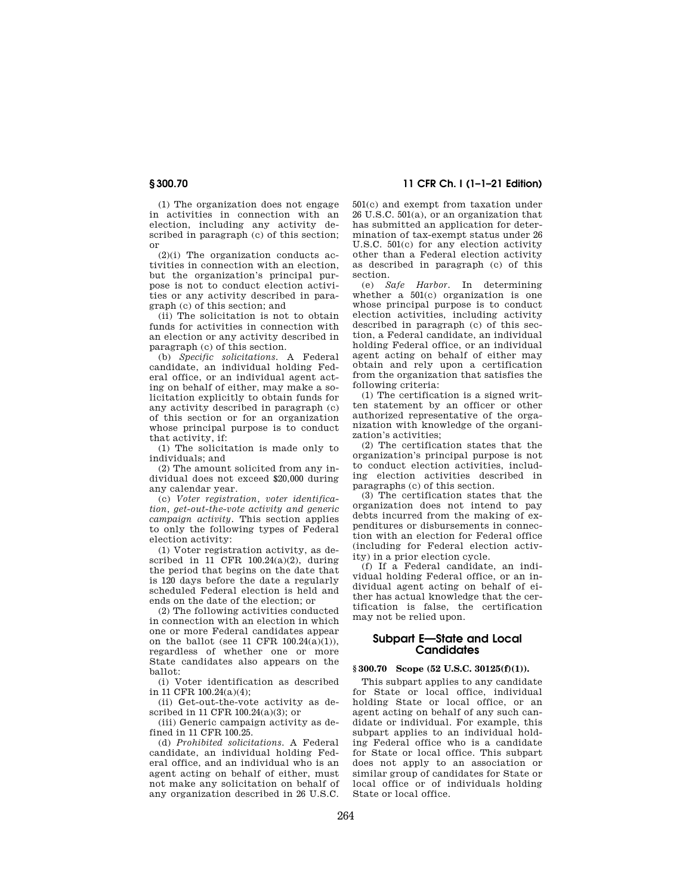(1) The organization does not engage in activities in connection with an election, including any activity described in paragraph (c) of this section; or

(2)(i) The organization conducts activities in connection with an election, but the organization's principal purpose is not to conduct election activities or any activity described in paragraph (c) of this section; and

(ii) The solicitation is not to obtain funds for activities in connection with an election or any activity described in paragraph (c) of this section.

(b) *Specific solicitations.* A Federal candidate, an individual holding Federal office, or an individual agent acting on behalf of either, may make a solicitation explicitly to obtain funds for any activity described in paragraph (c) of this section or for an organization whose principal purpose is to conduct that activity, if:

(1) The solicitation is made only to individuals; and

(2) The amount solicited from any individual does not exceed \$20,000 during any calendar year.

(c) *Voter registration, voter identification, get-out-the-vote activity and generic campaign activity.* This section applies to only the following types of Federal election activity:

(1) Voter registration activity, as described in 11 CFR  $100.24(a)(2)$ , during the period that begins on the date that is 120 days before the date a regularly scheduled Federal election is held and ends on the date of the election; or

(2) The following activities conducted in connection with an election in which one or more Federal candidates appear on the ballot (see 11 CFR  $100.24(a)(1)$ ), regardless of whether one or more State candidates also appears on the ballot:

(i) Voter identification as described in 11 CFR 100.24(a)(4);

(ii) Get-out-the-vote activity as described in 11 CFR 100.24(a)(3); or

(iii) Generic campaign activity as defined in 11 CFR 100.25.

(d) *Prohibited solicitations.* A Federal candidate, an individual holding Federal office, and an individual who is an agent acting on behalf of either, must not make any solicitation on behalf of any organization described in 26 U.S.C.

## **§ 300.70 11 CFR Ch. I (1–1–21 Edition)**

501(c) and exempt from taxation under 26 U.S.C. 501(a), or an organization that has submitted an application for determination of tax-exempt status under 26 U.S.C. 501(c) for any election activity other than a Federal election activity as described in paragraph (c) of this section.

(e) *Safe Harbor.* In determining whether a 501(c) organization is one whose principal purpose is to conduct election activities, including activity described in paragraph (c) of this section, a Federal candidate, an individual holding Federal office, or an individual agent acting on behalf of either may obtain and rely upon a certification from the organization that satisfies the following criteria:

(1) The certification is a signed written statement by an officer or other authorized representative of the organization with knowledge of the organization's activities;

(2) The certification states that the organization's principal purpose is not to conduct election activities, including election activities described in paragraphs (c) of this section.

(3) The certification states that the organization does not intend to pay debts incurred from the making of expenditures or disbursements in connection with an election for Federal office (including for Federal election activity) in a prior election cycle.

(f) If a Federal candidate, an individual holding Federal office, or an individual agent acting on behalf of either has actual knowledge that the certification is false, the certification may not be relied upon.

### **Subpart E—State and Local Candidates**

#### **§ 300.70 Scope (52 U.S.C. 30125(f)(1)).**

This subpart applies to any candidate for State or local office, individual holding State or local office, or an agent acting on behalf of any such candidate or individual. For example, this subpart applies to an individual holding Federal office who is a candidate for State or local office. This subpart does not apply to an association or similar group of candidates for State or local office or of individuals holding State or local office.